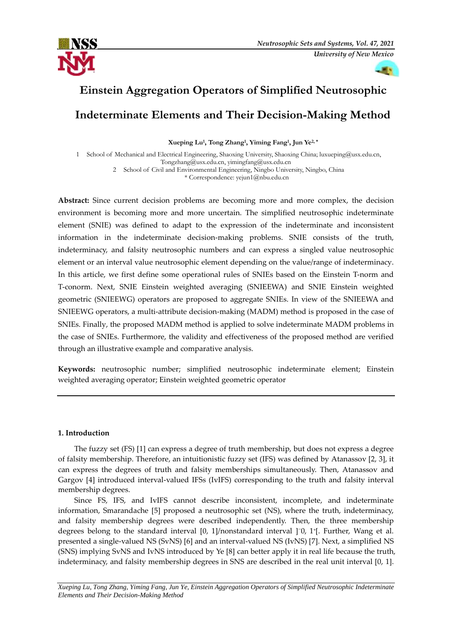



# **Einstein Aggregation Operators of Simplified Neutrosophic Indeterminate Elements and Their Decision-Making Method**

**Xueping Lu<sup>1</sup> , Tong Zhang<sup>1</sup> , Yiming Fang<sup>1</sup> , Jun Ye2, \***

1 School of Mechanical and Electrical Engineering, Shaoxing University, Shaoxing China; luxueping@usx.edu.cn, Tongzhang@usx.edu.cn, yimingfang@usx.edu.cn

2 School of Civil and Environmental Engineering, Ningbo University, Ningbo, China

\* Correspondence: yejun1@nbu.edu.cn

**Abstract:** Since current decision problems are becoming more and more complex, the decision environment is becoming more and more uncertain. The simplified neutrosophic indeterminate element (SNIE) was defined to adapt to the expression of the indeterminate and inconsistent information in the indeterminate decision-making problems. SNIE consists of the truth, indeterminacy, and falsity neutrosophic numbers and can express a singled value neutrosophic element or an interval value neutrosophic element depending on the value/range of indeterminacy. In this article, we first define some operational rules of SNIEs based on the Einstein T-norm and T-conorm. Next, SNIE Einstein weighted averaging (SNIEEWA) and SNIE Einstein weighted geometric (SNIEEWG) operators are proposed to aggregate SNIEs. In view of the SNIEEWA and SNIEEWG operators, a multi-attribute decision-making (MADM) method is proposed in the case of SNIEs. Finally, the proposed MADM method is applied to solve indeterminate MADM problems in the case of SNIEs. Furthermore, the validity and effectiveness of the proposed method are verified through an illustrative example and comparative analysis.

**Keywords:** neutrosophic number; simplified neutrosophic indeterminate element; Einstein weighted averaging operator; Einstein weighted geometric operator

# **1. Introduction**

The fuzzy set (FS) [1] can express a degree of truth membership, but does not express a degree of falsity membership. Therefore, an intuitionistic fuzzy set (IFS) was defined by Atanassov [2, 3], it can express the degrees of truth and falsity memberships simultaneously. Then, Atanassov and Gargov [4] introduced interval-valued IFSs (IvIFS) corresponding to the truth and falsity interval membership degrees.

Since FS, IFS, and IvIFS cannot describe inconsistent, incomplete, and indeterminate information, Smarandache [5] proposed a neutrosophic set (NS), where the truth, indeterminacy, and falsity membership degrees were described independently. Then, the three membership degrees belong to the standard interval [0, 1]/nonstandard interval ]<sup>-</sup>0, 1<sup>+</sup>[. Further, Wang et al. presented a single-valued NS (SvNS) [6] and an interval-valued NS (IvNS) [7]. Next, a simplified NS (SNS) implying SvNS and IvNS introduced by Ye [8] can better apply it in real life because the truth, indeterminacy, and falsity membership degrees in SNS are described in the real unit interval [0, 1].

*Xueping Lu, Tong Zhang, Yiming Fang, Jun Ye, Einstein Aggregation Operators of Simplified Neutrosophic Indeterminate Elements and Their Decision-Making Method*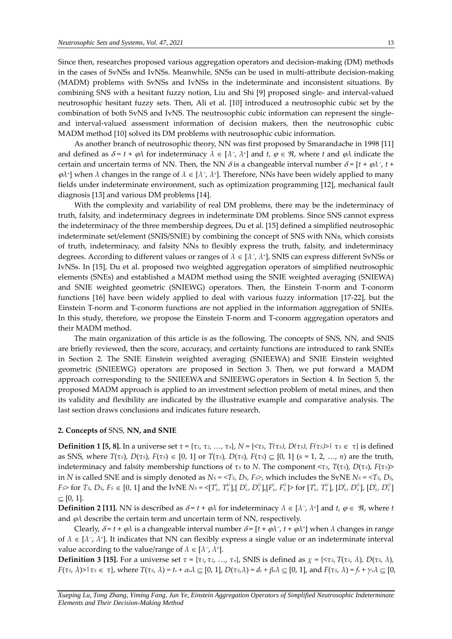Since then, researches proposed various aggregation operators and decision-making (DM) methods in the cases of SvNSs and IvNSs. Meanwhile, SNSs can be used in multi-attribute decision-making (MADM) problems with SvNSs and IvNSs in the indeterminate and inconsistent situations. By combining SNS with a hesitant fuzzy notion, Liu and Shi [9] proposed single- and interval-valued neutrosophic hesitant fuzzy sets. Then, Ali et al. [10] introduced a neutrosophic cubic set by the combination of both SvNS and IvNS. The neutrosophic cubic information can represent the singleand interval-valued assessment information of decision makers, then the neutrosophic cubic MADM method [10] solved its DM problems with neutrosophic cubic information.

As another branch of neutrosophic theory, NN was first proposed by Smarandache in 1998 [11] and defined as  $\delta = t + \varphi \lambda$  for indeterminacy  $\lambda \in [\lambda^-, \lambda^+]$  and  $t, \varphi \in \mathfrak{R}$ , where  $t$  and  $\varphi \lambda$  indicate the certain and uncertain terms of NN. Then, the NN  $\delta$  is a changeable interval number  $\delta = [t + \varphi \lambda^-, t +$  $\varphi$ *λ*<sup>+</sup>] when *λ* changes in the range of *λ* ∈ [*λ*<sup>-</sup>, *λ*<sup>+</sup>]. Therefore, NNs have been widely applied to many fields under indeterminate environment, such as optimization programming [12], mechanical fault diagnosis [13] and various DM problems [14].

With the complexity and variability of real DM problems, there may be the indeterminacy of truth, falsity, and indeterminacy degrees in indeterminate DM problems. Since SNS cannot express the indeterminacy of the three membership degrees, Du et al. [15] defined a simplified neutrosophic indeterminate set/element (SNIS/SNIE) by combining the concept of SNS with NNs, which consists of truth, indeterminacy, and falsity NNs to flexibly express the truth, falsity, and indeterminacy degrees. According to different values or ranges of  $\lambda \in [\lambda^-, \lambda^+]$ , SNIS can express different SvNSs or IvNSs. In [15], Du et al. proposed two weighted aggregation operators of simplified neutrosophic elements (SNEs) and established a MADM method using the SNIE weighted averaging (SNIEWA) and SNIE weighted geometric (SNIEWG) operators. Then, the Einstein T-norm and T-conorm functions [16] have been widely applied to deal with various fuzzy information [17-22], but the Einstein T-norm and T-conorm functions are not applied in the information aggregation of SNIEs. In this study, therefore, we propose the Einstein T-norm and T-conorm aggregation operators and their MADM method.

The main organization of this article is as the following. The concepts of SNS, NN, and SNIS are briefly reviewed, then the score, accuracy, and certainty functions are introduced to rank SNIEs in Section 2. The SNIE Einstein weighted averaging (SNIEEWA) and SNIE Einstein weighted geometric (SNIEEWG) operators are proposed in Section 3. Then, we put forward a MADM approach corresponding to the SNIEEWA and SNIEEWG operators in Section 4. In Section 5, the proposed MADM approach is applied to an investment selection problem of metal mines, and then its validity and flexibility are indicated by the illustrative example and comparative analysis. The last section draws conclusions and indicates future research.

#### **2. Concepts of** SNS, **NN, and SNIE**

**Definition 1** [5, 8]. In a universe set  $\tau = {\tau_1, \tau_2, ..., \tau_n}$ ,  $N = {\langle \tau_5, T(\tau_5), D(\tau_5), F(\tau_5) \rangle | \tau_5 \in \tau}$  is defined as SNS, where  $T(\tau s)$ ,  $D(\tau s)$ ,  $F(\tau s) \in [0, 1]$  or  $T(\tau s)$ ,  $D(\tau s)$ ,  $F(\tau s) \subseteq [0, 1]$   $(s = 1, 2, ..., n)$  are the truth, indeterminacy and falsity membership functions of *τ<sup>S</sup>* to *N*. The component <*τS*, *T*(*τS*)*, D*(*τS*)*, F*(*τS*)> in N is called SNE and is simply denoted as  $Ns = \langle Ts, D_s, Fs \rangle$ , which includes the SvNE  $Ns = \langle Ts, D_s, S_s \rangle$  $Fs$  for  $Ts$ ,  $Ds$ ,  $Fs \in [0, 1]$  and the IvNE  $Ns = \langle T_s^L, T_s^U \rangle [D_s^L, D_s^U] |F_s^L, F_s^U\rangle$  for  $[T_s^L, T_s^U]$ ,  $[D_s^L, D_s^U]$ ,  $[D_s^L, D_s^U]$  $\subseteq$  [0, 1].

**Definition 2 [11].** NN is described as  $\delta = t + \varphi \lambda$  for indeterminacy  $\lambda \in [\lambda^-, \lambda^+]$  and  $t, \varphi \in \mathcal{R}$ , where  $t$ and  $\varphi\lambda$  describe the certain term and uncertain term of NN, respectively.

Clearly,  $\delta = t + \varphi \lambda$  is a changeable interval number  $\delta = [t + \varphi \lambda^-, t + \varphi \lambda^+]$  when  $\lambda$  changes in range of  $\lambda \in [\lambda^-, \lambda^+]$ . It indicates that NN can flexibly express a single value or an indeterminate interval value according to the value/range of  $\lambda \in [\lambda^-, \lambda^+]$ .

**Definition 3 [15].** For a universe set  $\tau = \{\tau_1, \tau_2, ..., \tau_n\}$ , SNIS is defined as  $\chi = \{\langle \tau_5, T(\tau_5, \lambda), D(\tau_5, \lambda), D(\tau_6, \lambda), D(\tau_7, \lambda), D(\tau_8, \lambda), D(\tau_7, \lambda), D(\tau_8, \lambda), D(\tau_8, \lambda), D(\tau_9, \lambda), D(\tau_9, \lambda), D(\tau_9, \lambda), D(\tau_9, \lambda), D(\tau_9, \lambda), D(\tau_9, \lambda),$  $F(\tau s, \lambda) > |\tau s \in \tau|$ , where  $T(\tau s, \lambda) = t_s + \alpha_s \lambda \subseteq [0, 1]$ ,  $D(\tau s, \lambda) = d_s + \beta_s \lambda \subseteq [0, 1]$ , and  $F(\tau s, \lambda) = f_s + \gamma_s \lambda \subseteq [0, 1]$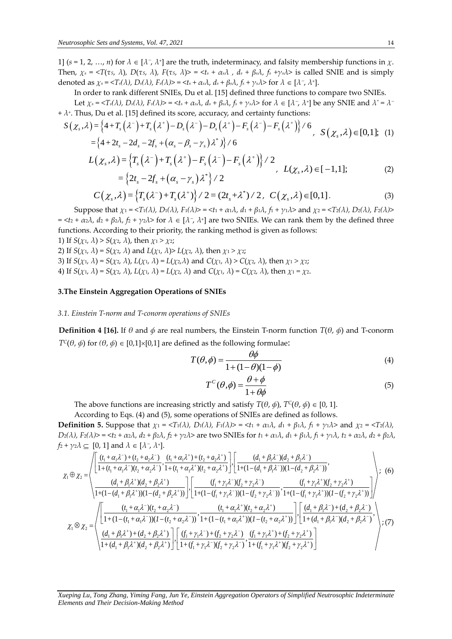1]  $(s = 1, 2, ..., n)$  for  $\lambda \in [\lambda^-, \lambda^+]$  are the truth, indeterminacy, and falsity membership functions in  $\chi$ . Then,  $\chi_s = \langle T(\tau_s, \lambda), D(\tau_s, \lambda), F(\tau_s, \lambda) \rangle = \langle t_s + \alpha_s \lambda, ds + \beta_s \lambda, f_s + \gamma_s \lambda \rangle$  is called SNIE and is simply denoted as  $\chi_s = \langle T_s(\lambda), D_s(\lambda), F_s(\lambda) \rangle = \langle t_s + \alpha_s \lambda, d_s + \beta_s \lambda, f_s + \gamma_s \lambda \rangle$  for  $\lambda \in [\lambda^-, \lambda^+]$ .

In order to rank different SNIEs, Du et al. [15] defined three functions to compare two SNIEs. Let  $\chi_s$  = <T<sub>s</sub>( $\lambda$ ), D<sub>s</sub>( $\lambda$ ), F<sub>s</sub>( $\lambda$ )> = <t<sub>s</sub> +  $\alpha_s\lambda$ ,  $d_s$  +  $\beta_s\lambda$ ,  $f_s$  +  $\gamma_s\lambda$ > for  $\lambda \in [\lambda^-, \lambda^+]$  be any SNIE and  $\lambda^* = \lambda^-$ +  $\lambda^+$ . Thus, Du et al. [15] defined its score, accuracy, and certainty functions:<br>  $S(\chi_e, \lambda) = \frac{1}{4} + T_e(\lambda^-) + T_e(\lambda^+) - D_e(\lambda^-) - D_e(\lambda^+) - F_e(\lambda^-) - F_e(\lambda^+)$ Let  $\chi_s = \langle T_s(\lambda), D_s(\lambda), F_s(\lambda) \rangle = \langle t_s + \alpha_s \lambda, d_s + \beta_s \lambda, f_s + \gamma_s \lambda \rangle$  for  $\lambda \in [\lambda^-, \lambda^+]$  be a<br>Thus, Du et al. [15] defined its score, accuracy, and certainty functions:<br> $\chi_s$ ,  $\lambda$ ) =  $\{4 + T_s(\lambda^-) + T_s(\lambda^+) - D_s(\lambda^-) - D_s(\lambda^+) - F_s(\lambda^-) - F_s(\lambda^+)$ 

Let 
$$
\chi_s = \langle T_s(\lambda), D_s(\lambda), F_s(\lambda) \rangle = \langle T_s + \alpha_s \lambda, d_s + \beta_s \lambda, f_s + \gamma_s \lambda \rangle
$$
 for  $\lambda \in [\lambda^-, \lambda^+]$  be any SNIE and  $\lambda^* = \lambda^{-1}$   
\n $\lambda^*$ . Thus, Du et al. [15] defined its score, accuracy, and certainty functions:  
\n
$$
S(\chi_s, \lambda) = \left\{ 4 + T_s(\lambda^-) + T_s(\lambda^+) - D_s(\lambda^-) - D_s(\lambda^+) - F_s(\lambda^-) - F_s(\lambda^+) \right\} / 6, \quad S(\chi_s, \lambda) \in [0, 1];
$$
\n
$$
= \left\{ 4 + 2t_s - 2d_s - 2f_s + (\alpha_s - \beta_s - \gamma_s)\lambda^* \right\} / 6
$$
\n
$$
L(\chi_s, \lambda) = \left\{ T_s(\lambda^-) + T_s(\lambda^+) - F_s(\lambda^-) - F_s(\lambda^+) \right\} / 2
$$

$$
L(\chi_s, \lambda) = \left\{ T_s(\lambda^-) + T_s(\lambda^+) - F_s(\lambda^-) - F_s(\lambda^+) \right\} / 2
$$
\n
$$
= \left\{ 2t_s - 2f_s + (\alpha_s - \gamma_s) \lambda^* \right\} / 2
$$
\n
$$
C(\chi_s, \lambda) = \left\{ T_s(\lambda^-) + T_s(\lambda^+) \right\} / 2 = (2t_s + \lambda^*) / 2, \ C(\chi_s, \lambda) \in [0, 1].
$$
\n(3)

$$
C(\chi_s, \lambda) = \left\{T_s(\lambda^-) + T_s(\lambda^+)\right\} / 2 = \left(2t_s + \lambda^*\right) / 2, \ \ C(\chi_s, \lambda) \in [0,1]. \tag{3}
$$

Suppose that  $\chi_1 = \langle T_1(\lambda), D_1(\lambda), F_1(\lambda) \rangle = \langle t_1 + \alpha_1 \lambda, d_1 + \beta_1 \lambda, f_1 + \gamma_1 \lambda \rangle$  and  $\chi_2 = \langle T_2(\lambda), D_2(\lambda), F_2(\lambda) \rangle$  $=$   $\langle t_2 + \alpha_2 \lambda, d_2 + \beta_2 \lambda, f_2 + \gamma_2 \lambda \rangle$  for  $\lambda \in [\lambda^-, \lambda^+]$  are two SNIEs. We can rank them by the defined three functions. According to their priority, the ranking method is given as follows:

1) If  $S(\chi_1, \lambda) > S(\chi_2, \lambda)$ , then  $\chi_1 > \chi_2$ ;

2) If  $S(\chi_1, \lambda) = S(\chi_2, \lambda)$  and  $L(\chi_1, \lambda) > L(\chi_2, \lambda)$ , then  $\chi_1 > \chi_2$ ;

3) If  $S(\chi_1, \lambda) = S(\chi_2, \lambda)$ ,  $L(\chi_1, \lambda) = L(\chi_2, \lambda)$  and  $C(\chi_1, \lambda) > C(\chi_2, \lambda)$ , then  $\chi_1 > \chi_2$ ;

4) If  $S(\chi_1, \lambda) = S(\chi_2, \lambda)$ ,  $L(\chi_1, \lambda) = L(\chi_2, \lambda)$  and  $C(\chi_1, \lambda) = C(\chi_2, \lambda)$ , then  $\chi_1 = \chi_2$ .

## **3.The Einstein Aggregation Operations of SNIEs**

#### *3.1. Einstein T-norm and T-conorm operations of SNIEs*

**Definition 4 [16].** If  $\theta$  and  $\phi$  are real numbers, the Einstein T-norm function  $T(\theta, \phi)$  and T-conorm *T<sup>C</sup>*( $\theta$ ,  $\phi$ ) for  $(\theta, \phi) \in [0,1] \times [0,1]$  are defined as the following formulae:

$$
T(\theta, \phi) = \frac{\theta \phi}{1 + (1 - \theta)(1 - \phi)}
$$
(4)

$$
T^{C}(\theta,\phi) = \frac{\theta + \phi}{1 + \theta\phi}
$$
 (5)

The above functions are increasing strictly and satisfy  $T(\theta, \phi)$ ,  $T^c(\theta, \phi) \in [0, 1]$ .

According to Eqs. (4) and (5), some operations of SNIEs are defined as follows.

**Definition 5.** Suppose that  $\chi_1 = \langle T_1(\lambda), D_1(\lambda), F_1(\lambda) \rangle = \langle t_1 + \alpha_1 \lambda, d_1 + \beta_1 \lambda, f_1 + \gamma_1 \lambda \rangle$  and  $\chi_2 = \langle T_2(\lambda), f_1(\lambda) \rangle = \langle T_1(\lambda), f_1(\lambda) \rangle$  $D_2(\lambda)$ , F2( $\lambda$ )> = <t2 +  $\alpha$ 2 $\lambda$ , d2 +  $\beta$ 2 $\lambda$ , f2 +  $\gamma$ 2 $\lambda$ > are two SNIEs for t1 +  $\alpha$ 1 $\lambda$ , d1 +  $\beta$ 1 $\lambda$ , f1 +  $\gamma$ 1 $\lambda$ , t2 +  $\alpha$ 2 $\lambda$ , d2 +  $\beta$ 2 $\lambda$ ,  $f_2 + \gamma_2 \lambda \subseteq [0, 1]$  and  $\lambda \in [\lambda^-, \lambda^+]$ . (a)  $\lim_{t \to \infty} \frac{d}{dt} \log \left( \frac{d}{dt} \right)$  (b) some operations of drugs are defined as<br>
(a). Suppose that  $\chi_1 = \langle T_1(\lambda), D_1(\lambda), F_1(\lambda) \rangle = \langle t_1 + \alpha_1 \lambda, d_1 + \beta_1 \lambda, f_1 \rangle$ <br>
(b)  $\chi_1 = \langle t_2 + \alpha_2 \lambda, d_2 + \beta_2 \lambda, f_2 + \gamma_2 \lambda \rangle$  are two SN *t* =  $\langle f, \rangle$  and  $\langle f, \rangle$  some operations of others are define<br> *t* =  $\langle f, \rangle$  +  $\langle f, \rangle$  =  $\langle f, \rangle$  +  $\langle f, \rangle$  =  $\langle f, \rangle$  +  $\langle f, \rangle$  =  $\langle f, \rangle$  +  $\langle f, \rangle$  +  $\langle f, \rangle$  +  $\langle f, \rangle$  +  $\langle f, \rangle$  +  $\langle f, \rangle$  +  $\langle f, \rangle$  +  $\langle f, \$ to Eqs. (4) and (5), some operations of 5 NLs are defined as follows.<br>
uppose that  $\chi_1 = \langle T_1(\lambda), D_1(\lambda), F_1(\lambda) \rangle = \langle t_1 + \alpha_1 \lambda, d_1 + \beta_1 \lambda, f_1 + \gamma_1 \lambda \rangle$  and<br>  $tz + \alpha_2 \lambda, dz + \beta_2 \lambda, f_2 + \gamma_2 \lambda \rangle$  are two SNIEs for  $t_1 + \alpha_1 \lambda, d_1$ 5. Suppose that  $\chi_1 = \langle T_1(\lambda), D_1(\lambda), F_1(\lambda) \rangle = \langle t_1 + \alpha_1 \lambda, d_1 \rangle$ <br>  $\Rightarrow \langle t_2 + \alpha_2 \lambda, d_2 + \beta_2 \lambda, f_2 + \gamma_2 \lambda \rangle$  are two SNIEs for  $t_1 + \alpha_1 \lambda, d_1$ <br>
0, 1] and  $\lambda \in [\lambda^-, \lambda^+]$ .<br>  $\left[ \frac{(t_1 + \alpha_1 \lambda^+) + (t_2 + \alpha_2 \lambda^+) }{1 + (t_1 + \alpha_1 \lambda^+) +$ 

**Definition 5.** Suppose that 
$$
\chi_1 = \langle T_1(\lambda), D_1(\lambda), F_1(\lambda) \rangle = \langle t_1 + \alpha_1 \lambda, d_1 + \beta_1 \lambda, f_1 + \gamma_1 \lambda \rangle
$$
 and  $\chi_2 = \langle T_2(\lambda), D_2(\lambda), F_2(\lambda) \rangle = \langle t_2 + \alpha_2 \lambda, d_2 + \beta_2 \lambda, f_2 + \gamma_2 \lambda \rangle$  are two SNIES for  $t_1 + \alpha_1 \lambda, d_1 + \beta_1 \lambda, f_1 + \gamma_1 \lambda, t_2 + \alpha_2 \lambda, d_2 + \beta_2 \lambda, t_2 + \gamma_2 \lambda \subseteq [0, 1]$  and  $\lambda \in [\lambda^-, \lambda^+]$ .  
\n
$$
\chi_1 \oplus \chi_2 = \begin{pmatrix} \frac{(t_1 + \alpha_1 \lambda^+) + (t_2 + \alpha_2 \lambda^+) - (t_1 + \alpha_1 \lambda^+) + (t_2 + \alpha_2 \lambda^+) - (t_1 + \alpha_1 \lambda^+) + (t_2 + \alpha_2 \lambda^+) - (t_1 + \alpha_1 \lambda^+) + (t_2 + \alpha_2 \lambda^+) - (t_1 + \alpha_1 \lambda^+) + (t_2 + \alpha_2 \lambda^+) - (t_1 + \alpha_1 \lambda^+) + (t_2 + \alpha_2 \lambda^+) - (t_1 + \alpha_1 \lambda^+) + (t_2 + \alpha_2 \lambda^+) - (t_1 + \alpha_1 \lambda^+) + (t_2 + \alpha_2 \lambda^+) - (t_1 + \alpha_1 \lambda^+) + (t_2 + \alpha_2 \lambda^+) - (t_1 + \alpha_1 \lambda^+) + (t_2 + \alpha_2 \lambda^+) - (t_1 + \alpha_1 \lambda^+) + (t_2 + \alpha_2 \lambda^+) - (t_1 + \alpha_1 \lambda^+) + (t_2 + \alpha_2 \lambda^+) - (t_1 + \alpha_1 \lambda^+) + (t_2 + \alpha_2 \lambda^+) - (t_1 + \alpha_1 \lambda^+) + (t_2 + \alpha_2 \lambda^+) - (t_1 + \alpha_1 \lambda^+) + (t_2 + \alpha_2 \lambda^+) - (t_1 + \alpha_1 \lambda^+) + (t_2 + \alpha_2 \lambda^+) - (t_1 + \alpha_1 \lambda^+) + (t_2 + \alpha_2 \lambda^+) - (t_1 + \alpha_1 \lambda
$$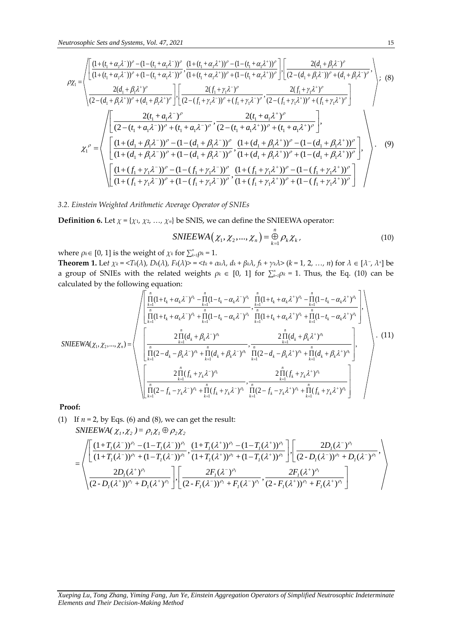$$
u\text{trosophic Sets and Systems, Vol. 47, 2021}
$$
\n15\n
$$
\rho \chi_{1} = \begin{pmatrix}\n\frac{(1 + (t_{1} + \alpha_{1}\lambda^{-1}))^{\rho} - (1 - (t_{1} + \alpha_{1}\lambda^{-1}))^{\rho}}{(1 + (t_{1} + \alpha_{1}\lambda^{-1}))^{\rho} + (1 - (t_{1} + \alpha_{1}\lambda^{+1}))^{\rho}} \cdot \frac{(1 + (t_{1} + \alpha_{1}\lambda^{+1})^{\rho} - (1 - (t_{1} + \alpha_{1}\lambda^{+1}))^{\rho}}{(1 + (t_{1} + \alpha_{1}\lambda^{-1}))^{\rho} + (1 - (t_{1} + \alpha_{1}\lambda^{+1}))^{\rho}} \cdot \frac{2(d_{1} + \beta_{1}\lambda^{-1})^{\rho}}{(2 - (d_{1} + \beta_{1}\lambda^{-1})^{\rho} + (d_{1} + \beta_{1}\lambda^{+1})^{\rho}})\n\end{pmatrix};
$$
\n(8)\n
$$
\frac{2(d_{1} + \beta_{1}\lambda^{+1})^{\rho}}{(2 - (d_{1} + \beta_{1}\lambda^{+1})^{\rho} + (d_{1} + \beta_{1}\lambda^{+1})^{\rho}} \cdot \frac{2(f_{1} + \gamma_{1}\lambda^{-1})^{\rho}}{(2 - (f_{1} + \gamma_{1}\lambda^{-1})^{\rho} + (f_{1} + \gamma_{1}\lambda^{+1})^{\rho}} \cdot \frac{2(f_{1} + \gamma_{1}\lambda^{+1})^{\rho}}{(2 - (f_{1} + \gamma_{1}\lambda^{+1})^{\rho}})\n\end{pmatrix};
$$
\n(8)\n
$$
\chi_{1}^{\rho} = \begin{pmatrix}\n\frac{2(t_{1} + a_{1}\lambda^{-1})^{\rho}}{(2 - (t_{1} + a_{1}\lambda^{-1})^{\rho} + (t_{1} + a_{1}\lambda^{-1})^{\rho}} \cdot \frac{2(t_{1} + a_{1}\lambda^{+1})^{\rho}}{(2 - (t_{1} + a_{1}\lambda^{+1})^{\rho} + (t_{1} + a_{1}\lambda^{+1})^{\rho}}\n\end{pmatrix},
$$
\n(9)\n
$$
\chi_{1}^{\rho} = \begin{pmatrix}\n\frac{(1 + (d_{1} + \beta_{1}\lambda^{-1})^{\rho} - (1 - (d_{1} + \beta_{1}\lambda^{-1})^{\rho})
$$

*3.2. Einstein Weighted Arithmetic Average Operator of SNIEs*

**Definition 6.** Let 
$$
\chi = \{\chi_1, \chi_2, ..., \chi_n\}
$$
 be SNIS, we can define the SNIEEWA operator:  
\nSNIEEWA  $(\chi_1, \chi_2, ..., \chi_n) = \bigoplus_{k=1}^n \rho_k \chi_k$ , (10)

where  $\rho_k \in [0, 1]$  is the weight of  $\chi_k$  for  $\sum_{k=1}^n \rho_k = 1$ .

**Theorem 1.** Let  $\chi_k = \langle T_k(\lambda), D_k(\lambda), F_k(\lambda) \rangle = \langle t_k + \alpha_k \lambda, d_k + \beta_k \lambda, f_k + \gamma_k \lambda \rangle$  ( $k = 1, 2, ..., n$ ) for  $\lambda \in [\lambda^-, \lambda^+]$  be<br>a group of SNIEs with the related weights  $\rho_k \in [0, 1]$  for  $\sum_{k=1}^n \rho_k = 1$ . Thus, the Eq. (10) can be<br>calcu a group of SNIEs with the related weights  $\rho_k \in [0, 1]$  for  $\sum_{k=1}^n \rho_k = 1$ . Thus, the Eq. (10) can be calculated by the following equation:  $D_k(\lambda)$ ,  $F_k(\lambda)$  > = <  $t_k + \alpha_k \lambda$ ,  $d_k + \beta_k \lambda$ ,  $f_k + \gamma_k \lambda$  > ( $k = 1, 2, ..., n$ ) for  $\lambda$ <br>
related weights  $\rho_k \in [0, 1]$  for  $\sum_{k=1}^{n} \rho_k = 1$ . Thus, the Eq.<br>
equation:<br>  $\frac{(1+t_k + \alpha_k \lambda^{-})^{\rho_k} - \prod_{k=1}^{n} (1-t_k - \alpha_k \lambda^{-})^{\rho_k}}{\sum_{k=1}^{$ *t*),  $F_k(\lambda)$  = <  $t_k + \alpha_k \lambda$ ,  $d_k + \beta_k \lambda$ ,  $f_k + \gamma_k \lambda$  > ( $k = 1, 2, ..., n$ )<br>lated weights  $\rho_k \in [0, 1]$  for  $\sum_{k=1}^{n} \rho_k = 1$ . Thus, that<br>ation:<br> $t_k + \alpha_k \lambda^{-\gamma} \lambda - \prod_{k=1}^{n} (1 - t_k - \alpha_k \lambda^{-\gamma})^{\rho_k} \prod_{k=1}^{n} (1 + t_k + \alpha_k \lambda^{+})^{\rho_k} - \prod_{k=$ weights  $\rho_k \in [0, 1]$  for  $\sum_{k=1}^n \rho_k = 1$ . Thus, the Eq. (10) can<br>  $(\sqrt{10})^n - \prod_{k=1}^n (1 - t_k - \alpha_k \lambda^{-1})^{\rho_k} \prod_{k=1}^n (1 + t_k + \alpha_k \lambda^{+1})^{\rho_k} - \prod_{k=1}^n (1 - t_k - \alpha_k \lambda^{+1})^{\rho_k}$ 

a group of SNIEs with the related weights 
$$
\rho_k \in [0, 1]
$$
 for  $\sum_{k=1}^{n} \rho_k = 1$ . Thus, the Eq. (10) can be calculated by the following equation:  
\n
$$
\sqrt{\left[\prod_{k=1}^{n} (1+t_k+\alpha_k\lambda^{-})^{\rho_k} - \prod_{k=1}^{n} (1-t_k-\alpha_k\lambda^{-})^{\rho_k}} \prod_{k=1}^{n} (1+t_k+\alpha_k\lambda^{+})^{\rho_k} - \prod_{k=1}^{n} (1-t_k-\alpha_k\lambda^{+})^{\rho_k}}{\prod_{k=1}^{n} (1+t_k+\alpha_k\lambda^{-})^{\rho_k} + \prod_{k=1}^{n} (1-t_k-\alpha_k\lambda^{+})^{\rho_k}}\prod_{k=1}^{n} (1+t_k+\alpha_k\lambda^{+})^{\rho_k} + \prod_{k=1}^{n} (1-t_k-\alpha_k\lambda^{+})^{\rho_k}}\right],
$$
\n
$$
SNIEEWA(\chi_1, \chi_2, ..., \chi_n) = \n\left(\n\left[\n\prod_{k=1}^{n} (2-d_k-\beta_k\lambda^{-})^{\rho_k} + \prod_{k=1}^{n} (d_k+\beta_k\lambda^{-})^{\rho_k}}\n\right]\n\left[\n\prod_{k=1}^{n} (2-d_k-\beta_k\lambda^{-})^{\rho_k} + \prod_{k=1}^{n} (d_k+\beta_k\lambda^{-})^{\rho_k}}\n\right]\n\left[\n\left[\n\prod_{k=1}^{n} (2-f_k-\gamma_k\lambda^{-})^{\rho_k} + \prod_{k=1}^{n} (f_k+\gamma_k\lambda^{-})^{\rho_k}}\n\right]\n\right]\n\left[\n\left[\n\prod_{k=1}^{n} (2-f_k-\gamma_k\lambda^{-})^{\rho_k} + \prod_{k=1}^{n} (f_k+\gamma_k\lambda^{-})^{\rho_k}}\n\right]\n\right]\n\left[\n\left[\n\prod_{k=1}^{n} (2-f_k-\gamma_k\lambda^{-})^{\rho_k} + \prod_{k=1}^{n} (f_k+\gamma_k\lambda^{-})^{\rho_k}}\n\right]\n\right]\n\left[\n\left[\n\prod_{k=1}^{n} (2-f_k-\gamma_k\lambda^{-})^{\rho_k} + \prod_{k=1}^{n} (f_k+\gamma_k\lambda^{-})^{\rho_k}}\n\right]\n\right]
$$

# **Proof:**

 $(1)$  If  $n = 2$ , by Eqs.  $(6)$  and  $(8)$ , we can get the result: 2, by Eqs. (6) and (8), we can get the result:<br>  $EWA(\chi_1, \chi_2) = \rho_1 \chi_1 \oplus \rho_2 \chi_2$ <br>  $\frac{(1+T_i(\lambda^-))^{\rho_i} - (1-T_i(\lambda^-))^{\rho_i}}{(1+T_i(\lambda^-))^{\rho_i} + (1-T_i(\lambda^-))^{\rho_i}} \cdot \frac{(1+T_i(\lambda^+))^{\rho_i} - (1-T_i(\lambda^+))^{\rho_i}}{(1+T_i(\lambda^+))^{\rho_i} + (1-T_i(\lambda^+))^{\rho_i}} \cdot \frac{2D_i(\lambda^-)^{\rho_i}}{(1+T_i(\$ get the result:<br>  $,\frac{(1+T_I(\lambda^+))^{\rho_I}-(1-T_I(\lambda^+))^{\rho_I}}{(1+T_I(\lambda^+))^{\rho_I}+(1-T_I(\lambda^+))^{\rho_I}}\Bigg], \left[\frac{2D_I(\lambda^-)^{\rho_I}}{(2-D_I(\lambda^-))^{\rho_I}+D_I(\lambda^-)^{\rho_I}}\right],$ 2, by Eqs. (6) and (8), we can get the result:<br>  $EWA(\chi_1, \chi_2) = \rho_1 \chi_1 \oplus \rho_2 \chi_2$ <br>  $\frac{(1+T_1(\lambda^-))^{\rho_1} - (1-T_1(\lambda^-))^{\rho_1}}{(1+T_1(\lambda^-))^{\rho_1} + (1-T_1(\lambda^+))^{\rho_1}} \cdot \frac{(1+T_1(\lambda^+))^{\rho_1} - (1-T_1(\lambda^+))^{\rho_1}}{(1+T_1(\lambda^+))^{\rho_1} + (1-T_1(\lambda^+))^{\rho_1}} \cdot \frac{$  $\begin{split} &(\chi_1,\chi_2\ )= \rho_1\chi_1\oplus \rho_2\chi_2\ &\frac{1}{I_1}(\lambda^-))^{\rho_1}-(1\!-\!T_I(\lambda^-))^{\rho_1}\,, \frac{(1\!+\!T_I(\lambda^+))^{\rho_1}-(1\!-\!T_I(\lambda^+))^{\rho_1}}{(1\!+\!T_I(\lambda^+))^{\rho_1}+(1\!-\!T_I(\lambda^+))^{\rho_1}}\Bigg], \end{split} \begin{split} &\left.\frac{2D_I(\lambda^-)^{\rho_I}}{(2\!-\!D_I(\lambda^-))^{\rho_I}+D_I(\lambda^-)^{\rho_I}}\rightg. \end{split}$ **1:**<br> **1:**<br>
If  $n = 2$ , by Eqs. (6) and (8), we can<br> *SNIEEWA*( $\chi_1, \chi_2$ ) =  $\rho_1 \chi_1 \oplus \rho_2 \chi_2$ by Eqs. (6) and (8), we can get the result:<br> *WA*( $\chi_1, \chi_2$ ) =  $\rho_1 \chi_1 \oplus \rho_2 \chi_2$ <br>  $+T_1(\lambda^-)^{\rho_1} - (1 - T_1(\lambda^-))^{\rho_1}$ ,  $\frac{(1 + T_1(\lambda^+))^{\rho_1} - (1 - T_1(\lambda^+))^{\rho_1}}{T_1(\lambda^-)^{\rho_1} + (1 - T_1(\lambda^-))^{\rho_1}}$ ,  $\left[\frac{2D_1(\lambda^-)^{\rho_1} + (1 - T_1(\lambda^-))^{\rho$ by Eqs. (6) and (8), we can get the result:<br> *NA*( $\chi_1, \chi_2$ ) =  $\rho_1 \chi_1 \oplus \rho_2 \chi_2$ <br>  $+T_1(\lambda^-)^{\rho_1} - (1 - T_1(\lambda^-))^{\rho_1}$ ,  $(1 + T_1(\lambda^+))^{\rho_1} - (1 - T_1(\lambda^+))^{\rho_1}$ <br>  $+T_1(\lambda^-)^{\rho_1} + (1 - T_1(\lambda^-))^{\rho_1}$ ,  $(1 + T_1(\lambda^+))^{\rho_1} + (1 - T_1(\lambda^+))^{\$ qs. (6) and (8), we can get the result:<br>  $\chi_1, \chi_2$  ) =  $\rho_1 \chi_1 \oplus \rho_2 \chi_2$ <br>  $(\lambda^-)^{\rho_1} - (1 - T_I(\lambda^-))^{\rho_1}$ ,  $\frac{(1 + T_I(\lambda^+))^{\rho_1} - (1 - T_I(\lambda^+))^{\rho_1}}{(1 + T_I(\lambda^+))^{\rho_1} + (1 - T_I(\lambda^+))^{\rho_1}}$ ,  $\left[\frac{2D_I(\lambda^-)^{\rho_1}}{(2 - D_I(\lambda^-))^{\rho_1} + D_I(\lambda^-)^{\rho_1}}\$  $\left\{\begin{aligned}\n\left| \prod_{k=1}^{11} (2 - f_k - \gamma_k \lambda)^{r_k} + \prod_{k=1}^{11} (f_k + \gamma_k)\right| \right\}\n\text{Gqs. (6) and (8), we can get the result\n
$$
\chi_1, \chi_2 \left) = \rho_1 \chi_1 \oplus \rho_2 \chi_2
$$$ qs. (6) and (8), we can get the result:<br>  $(\chi_1, \chi_2) = \rho_1 \chi_1 \oplus \rho_2 \chi_2$ <br>  $(\lambda^{-})^{\rho_1} - (1 - T_1(\lambda^{-}))^{\rho_1}$ ,  $\frac{(1 + T_1(\lambda^{+}))^{\rho_1} - (1 - T_1(\lambda^{+}))^{\rho_1}}{(\lambda^{-}))^{\rho_1} + (1 - T_1(\lambda^{-}))^{\rho_1}}$ ,  $\frac{2D_1(\lambda^{-})^{\rho_1}}{(2 - D_1(\lambda^{-}))^{\rho_1} + D_1(\lambda^{-})^{\rho_$  $\begin{split} &\mathcal{L}_2 \, \mathcal{L}_2 \, \mathcal{L}_1 \, \mathcal{L}_2 \, \mathcal{L}_3 \, \mathcal{L}_4 \, \mathcal{L}_5 \, \mathcal{L}_6 \, \mathcal{L}_7 \, \mathcal{L}_8 \, \mathcal{L}_7 \, \mathcal{L}_8 \, \mathcal{L}_9 \, \mathcal{L}_9 \, \mathcal{L}_1 \, \mathcal{L}_1 \, \mathcal{L}_1 \, \mathcal{L}_1 \, \mathcal{L}_2 \, \mathcal{L}_2 \, \mathcal{L}_3 \, \mathcal{L}_1 \, \mathcal{L}_1 \, \mathcal{L}_1$  $\oplus$ = 2, by Eqs. (6) and (8), we can get the result:<br>  $E EWA(\chi_1, \chi_2) = \rho_1 \chi_1 \oplus \rho_2 \chi_2$ <br>  $\left[ \frac{(1+T_I(\lambda^-))^{\rho_I} - (1-T_I(\lambda^-))^{\rho_I}}{(1+T_I(\lambda^-))^{\rho_I} + (1-T_I(\lambda^-))^{\rho_I}}, \frac{(1+T_I(\lambda^+))^{\rho_I} - (1-T_I(\lambda^+))^{\rho_I}}{(1+T_I(\lambda^+))^{\rho_I} + (1-T_I(\lambda^+))^{\rho_I}} \right], \left[ \frac{2D_I(\lambda^-)^{\rho$ 

$$
\begin{split} &\text{SNIEEWA}(\ \chi_l, \chi_2 \ ) = \rho_l \chi_l \oplus \rho_2 \chi_2 \\ &= \left\langle \begin{bmatrix} (1+T_l(\lambda^-))^{\rho_l} - (1-T_l(\lambda^-))^{\rho_l} & (1+T_l(\lambda^+))^{\rho_l} - (1-T_l(\lambda^+))^{\rho_l} \\ (1+T_l(\lambda^-))^{\rho_l} + (1-T_l(\lambda^-))^{\rho_l} & (1+T_l(\lambda^+))^{\rho_l} + (1-T_l(\lambda^+))^{\rho_l} \end{bmatrix}, \begin{bmatrix} 2D_l(\lambda^-)^{\rho_l} \\ (2-D_l(\lambda^-))^{\rho_l} + D_l(\lambda^-)^{\rho_l} \end{bmatrix} \right\rangle \\ &\cdot \begin{bmatrix} 2D_l(\lambda^+)^{\rho_l} \\ (2-D_l(\lambda^+))^{\rho_l} + D_l(\lambda^+)^{\rho_l} \end{bmatrix}, \begin{bmatrix} 2F_l(\lambda^-)^{\rho_l} \\ (2-F_l(\lambda^-))^{\rho_l} + F_l(\lambda^-)^{\rho_l} \end{bmatrix} \right\rangle \\ &\cdot \begin{bmatrix} 2F_l(\lambda^+)^{\rho_l} \\ (2-F_l(\lambda^-))^{\rho_l} + F_l(\lambda^-)^{\rho_l} \end{bmatrix} \end{split}
$$

#### *Xueping Lu, Tong Zhang, Yiming Fang, Jun Ye, Einstein Aggregation Operators of Simplified Neutrosophic Indeterminate Elements and Their Decision-Making Method*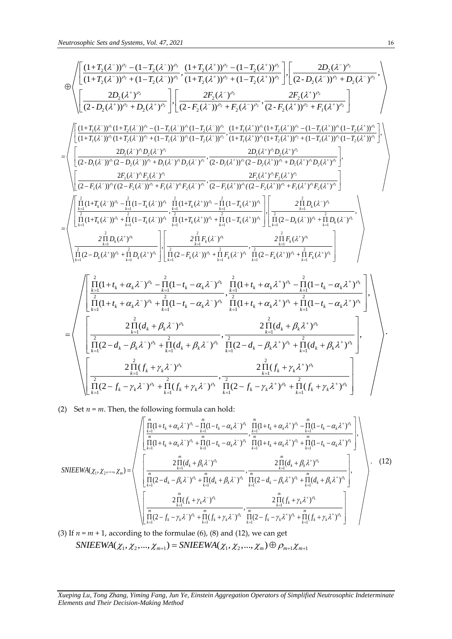\n Heurrosophic Sets and Systems, Vol. 47, 2021\n

\n\n The following expression:\n 
$$
\frac{16}{11} \int_{C} \frac{1}{(1+T_2(\lambda^-))^n} \left[ \frac{(1+T_2(\lambda^+))^n - (1-T_2(\lambda^+))^n - (1-T_2(\lambda^+))^n}{(1+T_2(\lambda^+))^n + (1-T_2(\lambda^+))^n + (1-T_2(\lambda^+))^n} \right] \cdot \left[ \frac{2D_2(\lambda^-)^n}{(2-D_2(\lambda^-)^n + D_2(\lambda^-)^n + D_2(\lambda^-)^n} \right] \cdot \left[ \frac{2F_2(\lambda^-)^n}{(2-D_2(\lambda^+))^n + D_2(\lambda^-)^n} \right] \cdot \left[ \frac{2F_2(\lambda^-)^n}{(2-D_2(\lambda^+))^n + D_2(\lambda^-)^n} \right] \cdot \left[ \frac{2F_2(\lambda^-)^n}{(2-D_2(\lambda^+))^n + D_2(\lambda^-)^n} \right] \cdot \left[ \frac{2F_2(\lambda^-)^n}{(2-D_2(\lambda^+))^n + D_2(\lambda^-)^n} \right] \cdot \left[ \frac{2F_2(\lambda^-)^n}{(2-D_2(\lambda^+))^n + D_2(\lambda^-)^n} \right] \cdot \left[ \frac{2F_2(\lambda^-)^n}{(1+T_2(\lambda^-))^n + (1-T_2(\lambda^-))^n + (1-T_2(\lambda^+))^n + (1-T_2(\lambda^+))^n + (1-T_2(\lambda^+))^n + (1-T_2(\lambda^+))^n + (1-T_2(\lambda^+))^n + (1-T_2(\lambda^+))^n + (1-T_2(\lambda^+))^n + (1-T_2(\lambda^+))^n + (1-T_2(\lambda^+))^n + (1-T_2(\lambda^+))^n + (1-T_2(\lambda^+))^n + (1-T_2(\lambda^+))^n + (1-T_2(\lambda^+))^n + (1-T_2(\lambda^+))^n + (1-T_2(\lambda^+))^n + (1-T_2(\lambda^+))^n + (1-T_2(\lambda^+))^n + (1-T_2(\lambda^+))^n + (1-T_2(\lambda^+))^n + (1-T_2(\lambda^+))^n + (1-T_2(\lambda^+))^n + (1-T_2(\lambda^+))^n + (1-T_2(\lambda^+))^n + (1-T_2(\lambda^+))^n + (1-T_2(\lambda^+))^n + (1-T_2(\lambda^+))^
$$

(2) Set *n* = *m*. Then, the following formula can hold:

$$
\left\{\n\prod_{k=1}^{T} (2 - f_k - \gamma_k \lambda^{-})^{\rho_k} + \prod_{k=1}^{T} (f_k + \gamma_k \lambda^{-})^{\rho_k} \prod_{k=1}^{T} (2 - f_k - \gamma_k \lambda^{+})^{\rho_k} + \prod_{k=1}^{T} (f_k + \gamma_k \lambda^{+})^{\rho_k}\n\right\}
$$
\n
$$
(2) \text{ Set } n = m. \text{ Then, the following formula can hold:}
$$
\n
$$
\left\{\n\begin{bmatrix}\n\prod_{k=1}^{m} (1+t_k + \alpha_k \lambda^{-})^{\rho_k} - \prod_{k=1}^{m} (1-t_k - \alpha_k \lambda^{-})^{\rho_k} \\
\prod_{k=1}^{m} (1+t_k + \alpha_k \lambda^{-})^{\rho_k} + \prod_{k=1}^{m} (1-t_k - \alpha_k \lambda^{-})^{\rho_k} \\
\prod_{k=1}^{m} (1+t_k + \alpha_k \lambda^{-})^{\rho_k} + \prod_{k=1}^{m} (1-t_k - \alpha_k \lambda^{-})^{\rho_k}\n\end{bmatrix}\n\right\}
$$
\n
$$
SNIEEWA(\chi_1, \chi_2, ..., \chi_m) =\n\left\{\n\begin{bmatrix}\n2 \prod_{k=1}^{m} (d_k + \beta_k \lambda^{-})^{\rho_k} \\
\frac{2 \prod_{k=1}^{m} (d_k + \beta_k \lambda^{-})^{\rho_k}}{\prod_{k=1}^{m} (d_k + \beta_k \lambda^{-})^{\rho_k}} + \prod_{k=1}^{m} (2 - d_k - \beta_k \lambda^{+})^{\rho_k} \\
\frac{2 \prod_{k=1}^{m} (f_k + \gamma_k \lambda^{-})^{\rho_k}}{\prod_{k=1}^{m} (2 - f_k - \gamma_k \lambda^{-})^{\rho_k}} + \prod_{k=1}^{m} (d_k + \beta_k \lambda^{-})^{\rho_k}}\n\end{bmatrix}\n\right\}.
$$
\n
$$
(3) \text{ If } n = m + 1, \text{ according to the formulae (6), (8) and (12), we can get}
$$
\n
$$
SNIEEWA(\chi_1, \chi_2, ..., \chi_{m+1}) = SNIEEWA(\chi_1, \chi_2, ..., \chi_m) \oplus \rho_{m+1} \chi_{m+1}
$$
\n
$$
(4) \text{ If } n = m + 1, \text{ the formulae (6)}\n\left
$$

*Xueping Lu, Tong Zhang, Yiming Fang, Jun Ye, Einstein Aggregation Operators of Simplified Neutrosophic Indeterminate Elements and Their Decision-Making Method*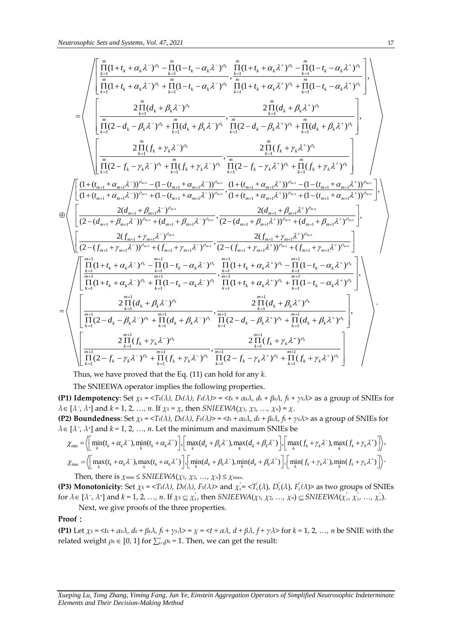$$
\text{Neutrosophic Sets and Systems, Vol. 47, 2021}\n\n17\n\n18\n\n19\n\n10\n\n11\n\n10\n\n11\n\n12\n\n13\n\n14\n\n15\n\n16\n\n17\n\n18\n\n19\n\n10\n\n11\n\n12\n\n13\n\n14\n\n15\n\n16\n\n17\n\n18\n\n19\n\n10\n\n11\n\n10\n\n11\n\n12\n\n13\n\n14\n\n15\n\n16\n\n17\n\n18\n\n19\n\n10\n\n11\n\n10\n\n11\n\n13\n\n14\n\n15\n\n16\n\n17\n\n18\n\n19\n\n10\n\n11\n\n11\n\n13\n\n14\n\n15\n\n16\n\n17\n\n18\n\n19\n\n10\n\n11\n\n11\n\n13\n\n14\n\n15\n\n16\n\n17\n\n18\n\n19\n\n10\n\n10\n\n11\n\n11\n\n13\n\n14\n\n15\n\n16\n\n17\n\n18\n\n19\n\n10\n\n10\n\n11\n\n11\n\n12\n\n13\n\n14\n\n15\n\n16\n\n17\n\n18\n\n19\n\n10\n\n10\n\n11\n\n11\n\n12\n\n13\n\n14\n\n15\n\n16\n\n17\n\n18\n\n19\n\n10\n\n10\n\n11\n\n11\n\n12\n\n13\n\n14\n\n15\n\n16\n\n17\n\n18\n\n19\n\n10\n\n10\n\n11\n\n11\n\n12\n\n13\n\n14\n
$$

Thus, we have proved that the Eq. (11) can hold for any *k*.

The SNIEEWA operator implies the following properties.

(P1) Idempotency: Set  $\chi_k = \langle T_k(\lambda), D_k(\lambda), F_k(\lambda) \rangle = \langle t_k + \alpha_k \lambda, d_k + \beta_k \lambda, f_k + \gamma_k \lambda \rangle$  as a group of SNIEs for  $\lambda \in [\lambda^-, \lambda^+]$  and  $k = 1, 2, ..., n$ . If  $\chi_k = \chi$ , then SNIEEWA( $\chi_1, \chi_2, ..., \chi_n$ ) =  $\chi$ .

**(P2) Boundedness:** Set  $\chi_k = \langle T_k(\lambda), D_k(\lambda), F_k(\lambda) \rangle = \langle t_k + \alpha_k \lambda, d_k + \beta_k \lambda, f_k + \gamma_k \lambda \rangle$  as a group of SNIEs for

(1) **Idenpotency**. Set 
$$
\chi_k = \langle \chi_k \rangle
$$
,  $D_k(\lambda)$ ,  $P_k(\lambda) = \langle \chi_k + \frac{\alpha}{2} \chi_k \rangle$ ,  $|\chi_k + \frac{\alpha}{2} \chi_k \rangle$  as a group of SNIES for  $\lambda \in [\lambda^-, \lambda^+]$  and  $k = 1, 2, ..., n$ . If  $\chi_k = \chi$ , then SNIEEWA $(\chi_1, \chi_2, ..., \chi_n) = \chi$ .  
\n(P2) **Boundedness**: Set  $\chi_k = \langle T_k(\lambda), D_k(\lambda), F_k(\lambda) \rangle = \langle f_k + \frac{\alpha}{2} \chi_k \rangle$ ,  $f_k + \frac{\gamma}{2} \chi_k \rangle$  as a group of SNIEs for  $\lambda \in [\lambda^-, \lambda^+]$  and  $k = 1, 2, ..., n$ . Let the minimum and maximum SNIEs be\n
$$
\chi_{min} = \langle \left[ \min_{k} (t_k + \alpha_k \lambda^-, \min_k (t_k + \alpha_k \lambda^+)) \right], \left[ \max_k (d_k + \beta_k \lambda^-, \max_k (d_k + \beta_k \lambda^+)) \right], \left[ \max_k (f_k + \gamma_k \lambda^-, \max_k (f_k + \gamma_k \lambda^+)) \right], \chi_{max} = \langle \left[ \max_k (t_k + \alpha_k \lambda^-, \max_k (t_k + \alpha_k \lambda^+)) \right], \left[ \min_k (d_k + \beta_k \lambda^-, \min_k (d_k + \beta_k \lambda^+)) \right], \left[ \min_k (f_k + \gamma_k \lambda^-, \min_k (f_k + \gamma_k \lambda^+)) \right].
$$
\nThen there is  $\chi_{min} \leq \frac{\text{SNIFFWA}}{\chi_{min}} = \chi_{min} \leq \frac{\chi_{min}}{\chi_{min}} = \frac{\chi_{min}}{\chi_{min}} = \frac{\chi_{min}}{\chi_{min}} = \frac{\chi_{min}}{\chi_{min}} = \frac{\chi_{min}}{\chi_{min}} = \frac{\chi_{min}}{\chi_{min}} = \frac{\chi_{min}}{\chi_{min}} = \frac{\chi_{min}}{\chi_{min}} = \frac{\chi_{min}}{\chi_{min}} = \frac{\chi_{min}}{\chi_{min}} = \frac{\chi_{min}}{\chi_{min}} = \frac{\chi_{min}}{\chi_{min}} = \frac{\chi_{min}}{\chi_{min}} = \frac{\chi_{min}}{\chi_{min}} = \frac{\chi_{$ 

Then, there is  $\chi$ <sup>min</sup>  $\leq$  *SNIEEWA*( $\chi$ <sub>1</sub>,  $\chi$ <sub>2</sub>, ...,  $\chi$ <sup>*n*</sup>)  $\leq \chi$ <sup>max.</sup>

**(P3) Monotonicity**: Set  $\chi_k = \langle T_k(\lambda), D_k(\lambda), F_k(\lambda) \rangle$  and  $\chi_k^* = \langle T_k(\lambda), D_k(\lambda), F_k(\lambda) \rangle$  as two groups of SNIEs for  $\lambda \in [\lambda^-, \lambda^+]$  and  $k = 1, 2, ..., n$ . If  $\chi_k \subseteq \chi_{k}^*$ , then SNIEEWA $(\chi_1, \chi_2, ..., \chi_n) \subseteq$ SNIEEWA $(\chi_1^*, \chi_2^*, ..., \chi_n^*)$ . Next, we give proofs of the three properties.

#### **Proof**:

(P1) Let  $\chi_k = \langle t_k + \alpha_k \lambda, d_k + \beta_k \lambda, f_k + \gamma_k \lambda \rangle = \chi = \langle t + \alpha \lambda, d + \beta \lambda, f + \gamma \lambda \rangle$  for  $k = 1, 2, ..., n$  be SNIE with the  $\mathbf{r}$ elated weight  $\rho_k \in [0,1]$  for  $\sum_{k=1}^n \rho_k = 1$ . Then, we can get the result: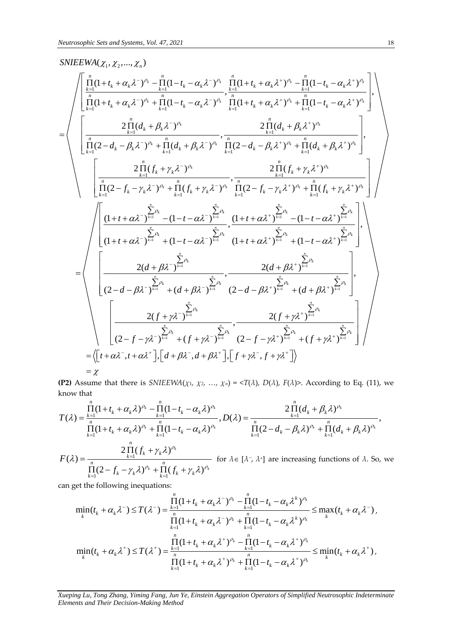# Sets and Systems,<br> $(\chi_1, \chi_2, ..., \chi_n)$  $SNIEEWA(\chi_1, \chi_2, ..., \chi_n)$

1 1 1 1 1 1 1 1 1 (1 ) (1 ) (1 ) (1 ) , , (1 ) (1 ) (1 ) (1 ) 2 ( ) *k k k k k k k k k n n n n k k k k k k k k k k k k n n n n k k k k k k k k k k k k n k k <sup>k</sup> t t t t t t t t d* 1 1 1 1 1 1 1 1 1 1 1 2 ( ) , , (2 ) ( ) (2 ) ( ) 2 ( ) 2 ( ) , (2 ) ( ) (2 ) ( *k k k k k k k k k k n k k <sup>k</sup> n n n n k k k k k k k k k k k k n n k k k k k k n n n n k k k k k k k k k k k d d d d d f f f f f f* ) *k k* 1 1 1 1 1 1 1 1 1 1 1 (1 ) (1 ) (1 ) (1 ) , , (1 ) (1 ) (1 ) (1 ) 2( ) 2( , (2 ) ( ) *n n n n k k k k k k k k n n n n k k k k k k k k n k k n n k k k k t t t t t t t t d d d d* 1 1 1 1 1 1 1 1 1 ) , (2 ) ( ) 2( ) 2( ) , (2 ) ( ) (2 ) ( ) *n k k n n k k k k n n k k k k n n n n k k k k k k k k d d f f f f f f t t d d f f* , , , , , 

**(P2)** Assume that there is  $SNIEEWA(\chi_1, \chi_2, ..., \chi_n) = \langle T(\lambda), D(\lambda), F(\lambda) \rangle$ . According to Eq. (11), we know that

$$
= \chi
$$
\n
$$
(P2) Assume that there is SNIEEWA( $\chi_1, \chi_2, ..., \chi_n$ ) =  $\langle T(\lambda), D(\lambda), F(\lambda) \rangle$ . According to Eq. (11), we know that\n
$$
T(\lambda) = \frac{\prod_{k=1}^{n} (1 + t_k + \alpha_k \lambda)^{\rho_k} - \prod_{k=1}^{n} (1 - t_k - \alpha_k \lambda)^{\rho_k}}{\prod_{k=1}^{n} (1 + t_k + \alpha_k \lambda)^{\rho_k} + \prod_{k=1}^{n} (1 - t_k - \alpha_k \lambda)^{\rho_k}}, D(\lambda) = \frac{2 \prod_{k=1}^{n} (d_k + \beta_k \lambda)^{\rho_k}}{\prod_{k=1}^{n} (2 - d_k - \beta_k \lambda)^{\rho_k} + \prod_{k=1}^{n} (d_k + \beta_k \lambda)^{\rho_k}},
$$
\n
$$
F(\lambda) = \frac{2 \prod_{k=1}^{n} (f_k + \gamma_k \lambda)^{\rho_k}}{\prod_{k=1}^{n} (2 - f_k - \gamma_k \lambda)^{\rho_k} + \prod_{k=1}^{n} (f_k + \gamma_k \lambda)^{\rho_k}}
$$
 for  $\lambda \in [\lambda^-, \lambda^+]$  are increasing functions of  $\lambda$ . So, we find that  $\lambda$  is a function of  $\lambda$ .
$$

can get the following inequations:

$$
\prod_{k=1}^{n} (2 - f_{k} - \gamma_{k} \lambda)^{\rho_{k}} + \prod_{k=1}^{n} (f_{k} + \gamma_{k} \lambda)^{\rho_{k}}
$$
\nget the following inequalities:

\n
$$
\min_{k} (t_{k} + \alpha_{k} \lambda^{-}) \leq T(\lambda^{-}) = \frac{\prod_{k=1}^{n} (1 + t_{k} + \alpha_{k} \lambda^{-})^{\rho_{k}} - \prod_{k=1}^{n} (1 - t_{k} - \alpha_{k} \lambda^{k})^{\rho_{k}}}{\prod_{k=1}^{n} (1 + t_{k} + \alpha_{k} \lambda^{-})^{\rho_{k}} + \prod_{k=1}^{n} (1 - t_{k} - \alpha_{k} \lambda^{k})^{\rho_{k}}} \leq \max_{k} (t_{k} + \alpha_{k} \lambda^{-}),
$$
\n
$$
\min_{k} (t_{k} + \alpha_{k} \lambda^{+}) \leq T(\lambda^{+}) = \frac{\prod_{k=1}^{n} (1 + t_{k} + \alpha_{k} \lambda^{+})^{\rho_{k}} - \prod_{k=1}^{n} (1 - t_{k} - \alpha_{k} \lambda^{+})^{\rho_{k}}}{\prod_{k=1}^{n} (1 + t_{k} + \alpha_{k} \lambda^{+})^{\rho_{k}} + \prod_{k=1}^{n} (1 - t_{k} - \alpha_{k} \lambda^{+})^{\rho_{k}}} \leq \min_{k} (t_{k} + \alpha_{k} \lambda^{+}),
$$

*Xueping Lu, Tong Zhang, Yiming Fang, Jun Ye, Einstein Aggregation Operators of Simplified Neutrosophic Indeterminate Elements and Their Decision-Making Method*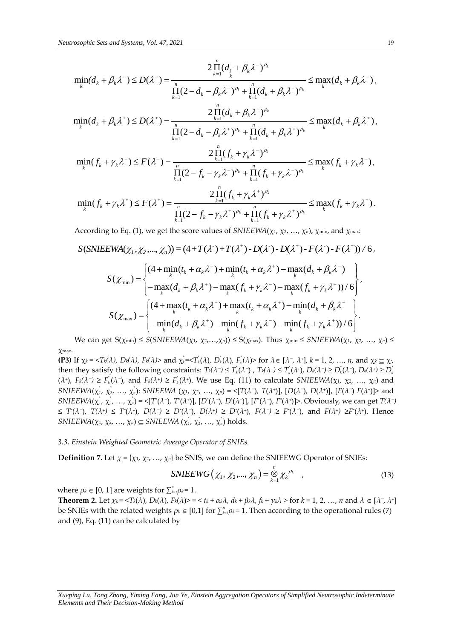Neuroscopic Sets and Systems, Vol. 47, 2021  
\n
$$
\min(d_k + \beta_k \lambda^{-}) \le D(\lambda^{-}) = \frac{2 \prod_{k=1}^{n} (d_k + \beta_k \lambda^{-})^{\alpha}}{\prod_{k=1}^{n} (2 - d_k - \beta_k \lambda^{-})^{\alpha} + \prod_{k=1}^{n} (d_k + \beta_k \lambda^{-})^{\alpha}} \le \max(d_k + \beta_k \lambda^{-})
$$
\n
$$
\min(d_k + \beta_k \lambda^{-}) \le D(\lambda^{+}) = \frac{2 \prod_{k=1}^{n} (d_k + \beta_k \lambda^{+})^{\alpha}}{\prod_{k=1}^{n} (2 - d_k - \beta_k \lambda^{+})^{\alpha} + \prod_{k=1}^{n} (d_k + \beta_k \lambda^{-})^{\alpha}} \le \max(d_k + \beta_k \lambda^{+}),
$$
\n
$$
\min(f_k + \gamma_k \lambda^{-}) \le F(\lambda^{-}) = \frac{2 \prod_{k=1}^{n} (f_k + \gamma_k \lambda^{-})^{\alpha}}{\prod_{k=1}^{n} (2 - f_k - \gamma_k \lambda^{-})^{\alpha} + \prod_{k=1}^{n} (f_k + \gamma_k \lambda^{-})^{\alpha}} \le \max(f_k + \gamma_k \lambda^{-}),
$$
\n
$$
\min(f_k + \gamma_k \lambda^{-}) \le F(\lambda^{-}) = \frac{2 \prod_{k=1}^{n} (f_k + \gamma_k \lambda^{-})^{\alpha}}{\prod_{k=1}^{n} (2 - f_k - \gamma_k \lambda^{-})^{\alpha} + \prod_{k=1}^{n} (f_k + \gamma_k \lambda^{-})^{\alpha}} \le \max(f_k + \gamma_k \lambda^{-})
$$
\nAccording to Eq. (1), we get the score values of SNIEEWA( $x, y, ..., x, y, y, z_{min}$ , and  $y_{min}$ .  
\nS(SNIEEWA( $x_i, x_2, ..., x_n$ )) = (4+T(\lambda^{-})+T(\lambda^{+})-D(\lambda^{-})-D(\lambda^{+})-F(\lambda^{-})-F(\lambda^{+}))/6,  
\n
$$
S(\chi_{min}) = \begin{cases} (4 + \min(t_k + \alpha_k \lambda^{-}) - \min(t_k + \alpha_k \lambda^{+}) - \max(t_k + \beta_k \lambda^{-}) \\ -\max(t_k + \beta_k \lambda^{-}) - \max(t_k + \beta_k \lambda^{-}) \\ -\max(t_k + \beta_k \lambda^{-}) - \max(t_k + \gamma_k \lambda^{-}) - \max(t
$$

 $\alpha$ g to Eq. (1), we get the score values of *SNIEEWA*(χ1, χ2, …, χn), χmin, and χm

$$
S(SNIEEWA(\chi_1, \chi_2, ..., \chi_n)) = (4 + T(\lambda^+) + T(\lambda^+) - D(\lambda^-) - D(\lambda^+) - F(\lambda^-) - F(\lambda^+))/6,
$$
  

$$
[(4 + \min(t, +\alpha, \lambda^-) + \min(t, +\alpha, \lambda^+) - \max(d, +\beta, \lambda^-)]
$$

$$
EWA(\chi_1, \chi_2, ..., \chi_n) = (4 + T(\lambda^+) + T(\lambda^+) - D(\lambda^-) - D(\lambda^+) - F(\lambda^-) - F(\lambda^+))/6,
$$
  
\n
$$
S(\chi_{\min}) = \begin{cases} (4 + \min_{k} (t_k + \alpha_k \lambda^-) + \min_{k} (t_k + \alpha_k \lambda^+) - \max_{k} (d_k + \beta_k \lambda^-) \\ - \max_{k} (d_k + \beta_k \lambda^+) - \max_{k} (f_k + \gamma_k \lambda^-) - \max_{k} (f_k + \gamma_k \lambda^+) / 6 \end{cases},
$$
  
\n
$$
S(\chi_{\max}) = \begin{cases} (4 + \max_{k} (t_k + \alpha_k \lambda^-) + \max_{k} (t_k + \alpha_k \lambda^+) - \min_{k} (d_k + \beta_k \lambda^-) \\ - \min_{k} (d_k + \beta_k \lambda^+) - \min_{k} (f_k + \gamma_k \lambda^-) - \min_{k} (f_k + \gamma_k \lambda^+) / 6 \end{cases}.
$$

We can get  $S(\chi_{\min}) \leq S(\varsigma NIEEWA(\chi_1, \chi_2,...,\chi_n)) \leq S(\chi_{\max})$ . Thus  $\chi_{\min} \leq SNIEEWA(\chi_1, \chi_2,...,\chi_n) \leq$ χmax.

**(P3)** If  $\chi_k = \langle T_k(\lambda), D_k(\lambda), F_k(\lambda) \rangle$  and  $\chi_k^* = \langle T_k(\lambda), D_k(\lambda), F_k(\lambda) \rangle$  for  $\lambda \in [\lambda^-, \lambda^+]$ ,  $k = 1, 2, ..., n$ , and  $\chi_k \subseteq \chi_k$ then they satisfy the following constraints:  $T_k(\lambda^-)\leq T_k^*(\lambda^-)$  ,  $T_k(\lambda^+)\leq T_k^*(\lambda^+)$ ,  $D_k(\lambda^-)\geq D_k^*(\lambda^-)$ ,  $D_k(\lambda^+)\geq D_k^*(\lambda^-)$  $(\lambda^*)$ ,  $F_k(\lambda^-) \geq F_k^*(\lambda^-)$ , and  $F_k(\lambda^*) \geq F_k^*(\lambda^*)$ . We use Eq. (11) to calculate SNIEEWA( $\chi_1, \chi_2, ..., \chi_n$ ) and SNIEEWA $(x_1, x_2, ..., x_n)$ : SNIEEWA  $(x_1, x_2, ..., x_n) = \{T(\lambda^-), T(\lambda^+)\}\$ ,  $[D(\lambda^-), D(\lambda^+)]$ ,  $[F(\lambda^-), F(\lambda^+)]$ > and SNIEEWA $(\chi^*_1, \chi^*_2, ..., \chi^*_n)$  = <[T'( $\lambda$ -), T'( $\lambda$ <sup>+</sup>)], [D'( $\lambda$ -), D'( $\lambda$ <sup>+</sup>)], [F'( $\lambda$ -), F'( $\lambda$ <sup>+</sup>)]>. Obviously, we can get  $T(\lambda^-)$  $\leq T^*(\lambda^-)$ ,  $T(\lambda^+) \leq T^*(\lambda^+)$ ,  $D(\lambda^-) \geq D^*(\lambda^-)$ ,  $D(\lambda^+) \geq D^*(\lambda^+)$ ,  $F(\lambda^-) \geq F^*(\lambda^-)$ , and  $F(\lambda^+) \geq F^*(\lambda^+)$ . Hence  $SNIEEWA(\chi_1, \chi_2, ..., \chi_n) \subseteq SNIEEWA(\chi_1^*, \chi_2^*, ..., \chi_n^*)$  holds.

#### *3.3. Einstein Weighted Geometric Average Operator of SNIEs*

**Definition 7.** Let 
$$
\chi = {\chi_1, \chi_2, ..., \chi_n}
$$
 be SNIS, we can define the SNIEEWG Operator of SNIEs:  
\nSNIEEWG( $\chi_1, \chi_2, ..., \chi_n$ ) =  $\bigotimes_{k=1}^n \chi_k^{p_k}$  (13)

where  $\rho_k \in [0, 1]$  are weights for  $\sum_{k=1}^n \rho_k = 1$ .

**Theorem 2.** Let  $\chi_k = \langle T_k(\lambda), D_k(\lambda), F_k(\lambda) \rangle = \langle t_k + \alpha_k \lambda, d_k + \beta_k \lambda, f_k + \gamma_k \lambda \rangle$  for  $k = 1, 2, ..., n$  and  $\lambda \in [\lambda^-, \lambda^+]$ be SNIEs with the related weights  $\rho_k \in [0,1]$  for  $\sum_{k=1}^n \rho_k = 1$ . Then according to the operational rules (7) and (9), Eq. (11) can be calculated by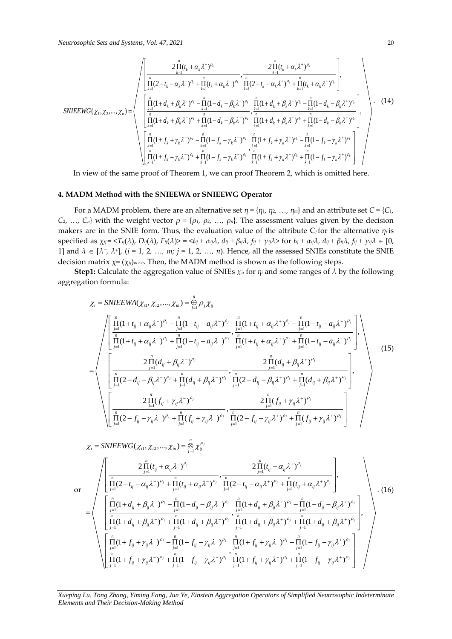$$
SNIEEWG(\chi_1, \chi_2, ..., \chi_n) = \begin{pmatrix} \frac{2 \prod_{k=1}^{n} (t_k + \alpha_k \lambda^{-})^{\rho_k}}{\prod_{k=1}^{n} (2 - t_k - \alpha_k \lambda^{-})^{\rho_k} + \prod_{k=1}^{n} (t_k + \alpha_k \lambda^{-})^{\rho_k}} \cdot \frac{2 \prod_{k=1}^{n} (t_k + \alpha_k \lambda^{+})^{\rho_k}}{\prod_{k=1}^{n} (2 - t_k - \alpha_k \lambda^{+})^{\rho_k} + \prod_{k=1}^{n} (t_k + \alpha_k \lambda^{+})^{\rho_k}} \end{pmatrix},
$$
\n
$$
SNIEEWG(\chi_1, \chi_2, ..., \chi_n) = \begin{pmatrix} \frac{n}{\prod_{k=1}^{n} (1 + d_k + \beta_k \lambda^{-})^{\rho_k} + \prod_{k=1}^{n} (1 + d_k + \beta_k \lambda^{-})^{\rho_k}}{\prod_{k=1}^{n} (1 + d_k + \beta_k \lambda^{-})^{\rho_k} + \prod_{k=1}^{n} (1 + d_k + \beta_k \lambda^{+})^{\rho_k} + \prod_{k=1}^{n} (1 - d_k - \beta_k \lambda^{+})^{\rho_k}} \end{pmatrix},
$$
\n
$$
SNIEEWG(\chi_1, \chi_2, ..., \chi_n) = \begin{pmatrix} \frac{n}{\prod_{k=1}^{n} (1 + d_k + \beta_k \lambda^{-})^{\rho_k} + \prod_{k=1}^{n} (1 - d_k - \beta_k \lambda^{-})^{\rho_k}}{\prod_{k=1}^{n} (1 + d_k + \beta_k \lambda^{-})^{\rho_k} + \prod_{k=1}^{n} (1 - d_k - \beta_k \lambda^{+})^{\rho_k}} \end{pmatrix},
$$
\n
$$
SNIEENG(\chi_1, \chi_2, ..., \chi_n) = \begin{pmatrix} \frac{n}{\prod_{k=1}^{n} (1 + f_k + \gamma_k \lambda^{-})^{\rho_k} - \prod_{k=1}^{n} (1 + f_k + \gamma_k \lambda^{-})^{\rho_k}}{\prod_{k=1}^{n} (1 + f_k + \gamma_k \lambda^{-})^{\rho_k}} + \prod_{k=1}^{n} (1 - f_k - \gamma_k \lambda^{+})^{\rho_k}} \end{pmatrix}
$$
\nIn view of the same proof of Theorem 1, we can prove Theorem 2, which is omitted here.

In view of the same proof of Theorem 1, we can proof Theorem 2, which is omitted here.

### **4. MADM Method with the SNIEEWA or SNIEEWG Operator**

For a MADM problem, there are an alternative set  $\eta = {\eta_1, \eta_2, ..., \eta_m}$  and an attribute set  $C = {C_1, \ldots, T_m}$ *C*<sub>2</sub>, *…*, *C*<sub>*n*</sub>} with the weight vector  $ρ = {ρ<sub>1</sub>, ρ<sub>2</sub>, …, ρ<sub>n</sub>}.$  The assessment values given by the decision makers are in the SNIE form. Thus, the evaluation value of the attribute C*j*for the alternative *η<sup>i</sup>* is specified as  $\chi_{ij} = \langle T_{ij}(\lambda), D_{ij}(\lambda), F_{ij}(\lambda) \rangle = \langle t_{ij} + \alpha_{ij}\lambda, d_{ij} + \beta_{ij}\lambda, f_{ij} + \gamma_{ij}\lambda \rangle$  for  $t_{ij} + \alpha_{ij}\lambda, d_{ij} + \beta_{ij}\lambda, f_{ij} + \gamma_{ij}\lambda \in [0, 1]$ 1] and  $\lambda \in [\lambda^-, \lambda^+]$ ,  $(i = 1, 2, ..., m; j = 1, 2, ..., n)$ . Hence, all the assessed SNIEs constitute the SNIE decision matrix  $\chi = (\chi_{ij})_{m \times n}$ . Then, the MADM method is shown as the following steps.

**Step1:** Calculate the aggregation value of SNIEs  $\chi_{ij}$  for  $\eta_i$  and some ranges of  $\lambda$  by the following egation formula:<br>  $\chi_i = \text{SNIEEWA}(\chi_{i1}, \chi_{i2}, ..., \chi_{in}) = \bigoplus_{j=1}^n \rho_j \chi_{ij}$ aggregation formula:

$$
\chi_{i} = \text{SNIEEWA}(\chi_{i1}, \chi_{i2}, ..., \chi_{in}) = \frac{a}{\frac{b}{2}} \rho_{j} \chi_{ij}
$$
\n
$$
\chi_{i} = \text{SNIEEWA}(\chi_{i1}, \chi_{i2}, ..., \chi_{in}) = \frac{a}{\frac{b}{2}} \rho_{j} \chi_{ij}
$$
\n
$$
= \begin{pmatrix}\n\frac{n}{\prod_{j=1}^{n} (1+t_{ij} + \alpha_{ij} \lambda^{-})^{\rho_{j}} - \prod_{j=1}^{n} (1-t_{ij} - a_{ij} \lambda^{-})^{\rho_{j}}}{\prod_{j=1}^{n} (1+t_{ij} + \alpha_{ij} \lambda^{-})^{\rho_{j}} + \prod_{j=1}^{n} (1-t_{ij} - a_{ij} \lambda^{-})^{\rho_{j}}}, \frac{n}{\prod_{j=1}^{n} (1+t_{ij} + \alpha_{ij} \lambda^{+})^{\rho_{j}} + \prod_{j=1}^{n} (1-t_{ij} - a_{ij} \lambda^{+})^{\rho_{j}}}{\prod_{j=1}^{n} (2-d_{ij} - \beta_{ij} \lambda^{-})^{\rho_{j}} + \prod_{j=1}^{n} (d_{ij} + \beta_{ij} \lambda^{-})^{\rho_{j}}}, \frac{2 \prod_{j=1}^{n} (d_{ij} + \beta_{ij} \lambda^{+})^{\rho_{j}}}{\prod_{j=1}^{n} (2-d_{ij} - \beta_{ij} \lambda^{+})^{\rho_{j}} + \prod_{j=1}^{n} (d_{ij} + \beta_{ij} \lambda^{+})^{\rho_{j}}}\n\end{pmatrix},
$$
\n
$$
\chi_{i} = \text{SNIEEWG}(\chi_{i1}, \chi_{i2}, ..., \chi_{in}) = \frac{a}{\sum_{j=1}^{n} \chi_{ij}^{\rho_{j}}}
$$
\n
$$
\chi_{i} = \text{SNIEEWG}(\chi_{i1}, \chi_{i2}, ..., \chi_{in}) = \frac{a}{\sum_{j=1}^{n} \chi_{ij}^{\rho_{j}}}
$$
\n
$$
\chi_{i} = \text{SNIEEWG}(\chi_{i1}, \chi_{i2}, ..., \chi_{in}) = \frac{a}{\sum_{j=1}^{n} \chi_{ij}^{\rho_{j}}}
$$
\n
$$
(15)
$$

$$
\chi_{i} = \text{SNIEEWG}(\chi_{i1}, \chi_{i2}, ..., \chi_{in}) = \sum_{j=1}^{n} \chi_{ij}^{\rho_{j}}
$$
\n
$$
\text{or}
$$
\n
$$
\begin{bmatrix}\n\frac{2 \prod_{j=1}^{n} (t_{ij} + \alpha_{ij} \lambda^{-})^{\rho_{j}}}{\prod_{j=1}^{n} (2 - t_{ij} - \alpha_{ij} \lambda^{-})^{\rho_{j}} + \prod_{j=1}^{n} (t_{ij} + \alpha_{ij} \lambda^{-})^{\rho_{j}}}, \frac{2 \prod_{j=1}^{n} (t_{ij} + \alpha_{ij} \lambda^{+})^{\rho_{j}}}{\prod_{j=1}^{n} (2 - t_{ij} - \alpha_{ij} \lambda^{+})^{\rho_{j}} + \prod_{j=1}^{n} (t_{ij} + \alpha_{ij} \lambda^{+})^{\rho_{j}}}\n\end{bmatrix},
$$
\n
$$
= \n\begin{bmatrix}\n\frac{\prod_{j=1}^{n} (1 + d_{ij} + \beta_{ij} \lambda^{-})^{\rho_{j}} - \prod_{j=1}^{n} (1 - d_{ij} - \beta_{ij} \lambda^{-})^{\rho_{j}}}{\prod_{j=1}^{n} (1 + d_{ij} + \beta_{ij} \lambda^{-})^{\rho_{j}} + \prod_{j=1}^{n} (1 + d_{ij} + \beta_{ij} \lambda^{+})^{\rho_{j}} + \prod_{j=1}^{n} (1 - d_{ij} - \beta_{ij} \lambda^{+})^{\rho_{j}}}\n\end{bmatrix},
$$
\n
$$
\begin{bmatrix}\n\frac{\prod_{j=1}^{n} (1 + f_{ij} + \gamma_{ij} \lambda^{-})^{\rho_{j}} - \prod_{j=1}^{n} (1 - f_{ij} - \gamma_{ij} \lambda^{-})^{\rho_{j}}}{\prod_{j=1}^{n} (1 + f_{ij} + \gamma_{ij} \lambda^{+})^{\rho_{j}} - \prod_{j=1}^{n} (1 - f_{ij} - \gamma_{ij} \lambda^{+})^{\rho_{j}}}\n\end{bmatrix},
$$
\n
$$
\begin{bmatrix}\n\frac{\prod_{j=1}^{n} (1 + f_{ij} + \gamma_{ij} \lambda^{-})^{\rho_{j}} - \prod_{j=1}^{n} (1 - f_{ij} - \gamma_{ij} \lambda^{-})^{\rho_{j}}}{\prod_{j=1}^{n} (1 + f
$$

*Xueping Lu, Tong Zhang, Yiming Fang, Jun Ye, Einstein Aggregation Operators of Simplified Neutrosophic Indeterminate Elements and Their Decision-Making Method*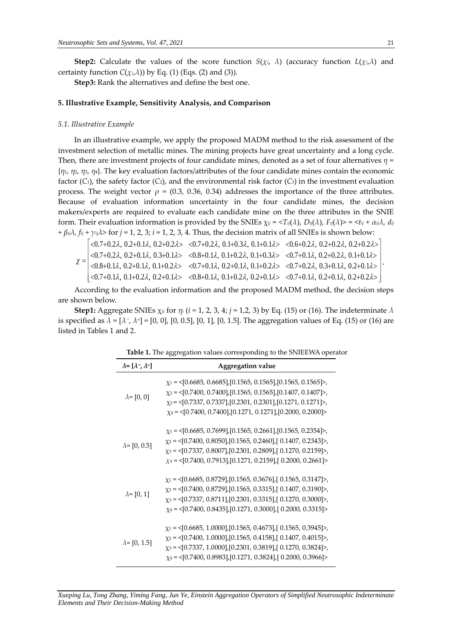**Step2:** Calculate the values of the score function  $S(\chi_i, \lambda)$  (accuracy function  $L(\chi_i, \lambda)$  and certainty function  $C(\chi_i, \lambda)$ ) by Eq. (1) (Eqs. (2) and (3)).

**Step3:** Rank the alternatives and define the best one.

#### **5. Illustrative Example, Sensitivity Analysis, and Comparison**

#### *5.1. Illustrative Example*

In an illustrative example, we apply the proposed MADM method to the risk assessment of the investment selection of metallic mines. The mining projects have great uncertainty and a long cycle. Then, there are investment projects of four candidate mines, denoted as a set of four alternatives *η* = {*η*1, *η*2, *η*3, *η*4}. The key evaluation factors/attributes of the four candidate mines contain the economic factor  $(C_1)$ , the safety factor  $(C_2)$ , and the environmental risk factor  $(C_3)$  in the investment evaluation process. The weight vector  $ρ = (0.3, 0.36, 0.34)$  addresses the importance of the three attributes. Because of evaluation information uncertainty in the four candidate mines, the decision makers/experts are required to evaluate each candidate mine on the three attributes in the SNIE form. Their evaluation information is provided by the SNIEs  $\chi_{ij}$  = <T $_{ij}(\lambda)$ , D $_{ij}(\lambda)$ , F $_{ij}(\lambda)>$  = <t $_{ij}$  +  $\alpha_{ij}\lambda$ ,  $d_{ij}$ *+ βijλ, fij + γijλ*> for *j* = 1, 2, 3; *i* = 1, 2, 3, 4. Thus, the decision matrix of all SNIEs is shown below: Experts are required to evaluate each candidate mine on the three attributes in the SINIE<br>
eir evaluation information is provided by the SNIEs  $\chi_{ij} = \langle T_{ij}(\lambda), D_{ij}(\lambda), F_{ij}(\lambda) \rangle = \langle t_{ij} + \alpha_{ij}\lambda, d_{ij}$ <br>  $\sim \gamma_{ij}\lambda$ > for  $j = 1, 2$ 

0.7 0.2 , 0.2 0.1 , 0.3 0.1 0.8 0.1 , 0.1 0.2 , 0.1 0.3 0.7 0.1 , 0.2 0.2 , 0.1 0.1 0.8 0.1 , 0.2 0.1 , 0.1 0.2 0.7 0.1 , 0.2 0.1 , 0.1 0.2 0.7 0.2 , 0.3 0.1 , 0.2 0.1 0.7 0.1 , 0.1 0.2 , 0.2 0.1 0.8 0.1 , 0.1 0.2 , 0.2 0.1 0.7 0.1 , 0.2 0.1 , 0.2 0.2 

According to the evaluation information and the proposed MADM method, the decision steps are shown below.

**Step1:** Aggregate SNIEs  $\chi_{ij}$  for  $\eta_i$  ( $i = 1, 2, 3, 4; j = 1, 2, 3$ ) by Eq. (15) or (16). The indeterminate  $\lambda$ is specified as  $\lambda$  = [ $\lambda$ <sup>-</sup>,  $\lambda$ <sup>+</sup>] = [0, 0], [0, 0.5], [0, 1], [0, 1.5]. The aggregation values of Eq. (15) or (16) are listed in Tables 1 and 2.

| $\lambda = [\lambda^-, \lambda^+]$ | <b>Aggregation value</b>                                                                                                                                                                                                                                                                                              |  |  |
|------------------------------------|-----------------------------------------------------------------------------------------------------------------------------------------------------------------------------------------------------------------------------------------------------------------------------------------------------------------------|--|--|
| $\lambda = [0, 0]$                 | $\chi_1$ = <[0.6685, 0.6685],[0.1565, 0.1565],[0.1565, 0.1565]>,<br>$\chi_2 = \{0.7400, 0.7400\}, [0.1565, 0.1565], [0.1407, 0.1407]$<br>$\chi_3$ = <[0.7337, 0.7337],[0.2301, 0.2301],[0.1271, 0.1271]>,<br>$\chi_4$ = <[0.7400, 0.7400],[0.1271, 0.1271],[0.2000, 0.2000]>                                          |  |  |
| $\lambda = [0, 0.5]$               | $\chi_1$ = <[0.6685, 0.7699],[0.1565, 0.2661],[0.1565, 0.2354]>,<br>$\chi$ <sub>2</sub> = <[0.7400, 0.8050],[0.1565, 0.2460],[0.1407, 0.2343]>,<br>$\chi_3 = \langle [0.7337, 0.8007], [0.2301, 0.2809], [0.1270, 0.2159] \rangle$<br>$\chi_4 = \langle [0.7400, 0.7913], [0.1271, 0.2159], [0.2000, 0.2661] \rangle$ |  |  |
| $\lambda = [0, 1]$                 | $\chi_1 = \langle [0.6685, 0.8729], [0.1565, 0.3676], [0.1565, 0.3147] \rangle,$<br>$\chi_2$ = <[0.7400, 0.8729],[0.1565, 0.3315],[0.1407, 0.3190]>,<br>$\chi_3 = \{0.7337, 0.8711\}$ , [0.2301, 0.3315], [0.1270, 0.3000]>,<br>$\chi_4$ = <[0.7400, 0.8435],[0.1271, 0.3000],[0.2000, 0.3315]>                       |  |  |
| $\lambda = [0, 1.5]$               | $\chi_1$ = <[0.6685, 1.0000],[0.1565, 0.4673],[ 0.1565, 0.3945]>,<br>$\chi$ <sub>2</sub> = <[0.7400, 1.0000],[0.1565, 0.4158],[0.1407, 0.4015]>,<br>$\chi_3 = \{0.7337, 1.0000\}, [0.2301, 0.3819], [0.1270, 0.3824] \rangle$<br>$\chi_4$ = <[0.7400, 0.8983],[0.1271, 0.3824],[0.2000, 0.3966]>                      |  |  |

| Table 1. The aggregation values corresponding to the SNIEEWA operator |  |  |
|-----------------------------------------------------------------------|--|--|
|                                                                       |  |  |

.

*Xueping Lu, Tong Zhang, Yiming Fang, Jun Ye, Einstein Aggregation Operators of Simplified Neutrosophic Indeterminate Elements and Their Decision-Making Method*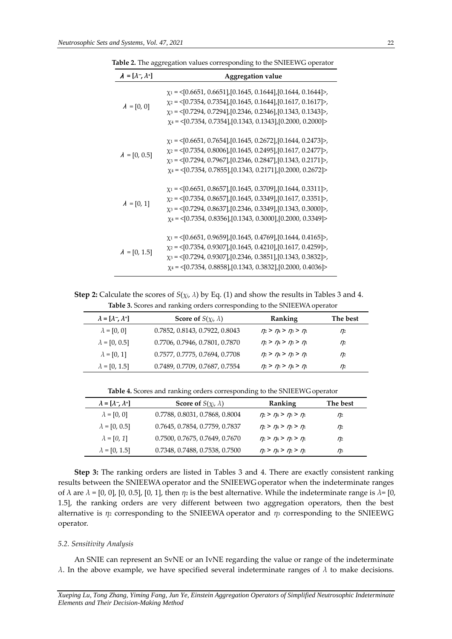| $\lambda = [\lambda^-, \lambda^+]$ | <b>Aggregation value</b>                                                                                                                                                                                                                                                                                                     |  |  |
|------------------------------------|------------------------------------------------------------------------------------------------------------------------------------------------------------------------------------------------------------------------------------------------------------------------------------------------------------------------------|--|--|
| $\lambda = [0, 0]$                 | $\chi_1$ = <[0.6651, 0.6651],[0.1645, 0.1644],[0.1644, 0.1644]>,<br>$\chi_2 = \langle [0.7354, 0.7354], [0.1645, 0.1644], [0.1617, 0.1617] \rangle,$<br>$\chi_3 = \{0.7294, 0.7294\}, [0.2346, 0.2346], [0.1343, 0.1343] \rangle$<br>$\chi_4$ = <[0.7354, 0.7354],[0.1343, 0.1343],[0.2000, 0.2000]>                         |  |  |
| $\lambda = [0, 0.5]$               | $\chi_1$ = <[0.6651, 0.7654],[0.1645, 0.2672],[0.1644, 0.2473]>,<br>$\chi_2 = \langle [0.7354, 0.8006], [0.1645, 0.2495], [0.1617, 0.2477] \rangle,$<br>$\chi_3 = \langle [0.7294, 0.7967], [0.2346, 0.2847], [0.1343, 0.2171] \rangle$<br>$\chi_4$ = <[0.7354, 0.7855],[0.1343, 0.2171],[0.2000, 0.2672]>                   |  |  |
| $\lambda = [0, 1]$                 | $\chi_1 = \langle [0.6651, 0.8657], [0.1645, 0.3709], [0.1644, 0.3311] \rangle,$<br>$\chi_2 = \langle [0.7354, 0.8657], [0.1645, 0.3349], [0.1617, 0.3351] \rangle,$<br>$\chi_3 = \langle [0.7294, 0.8637], [0.2346, 0.3349], [0.1343, 0.3000] \rangle$ ,<br>$\chi_4$ = <[0.7354, 0.8356],[0.1343, 0.3000],[0.2000, 0.3349]> |  |  |
| $\lambda = [0, 1.5]$               | $\chi_1$ = <[0.6651, 0.9659],[0.1645, 0.4769],[0.1644, 0.4165]>,<br>$\chi_2$ = <[0.7354, 0.9307], [0.1645, 0.4210], [0.1617, 0.4259]>,<br>$\chi_3 = \langle [0.7294, 0.9307], [0.2346, 0.3851], [0.1343, 0.3832] \rangle$<br>$\chi_4$ = <[0.7354, 0.8858],[0.1343, 0.3832],[0.2000, 0.4036]>                                 |  |  |

**Table 2.** The aggregation values corresponding to the SNIEEWG operator

**Step 2:** Calculate the scores of  $S(\chi_i, \lambda)$  by Eq. (1) and show the results in Tables 3 and 4. Table 3. Scores and ranking orders corresponding to the SNIEEWA operator

| $\lambda = [\lambda^-, \lambda^+]$ | <b>Score of</b> $S(\chi_i, \lambda)$ | Ranking                             | The best |
|------------------------------------|--------------------------------------|-------------------------------------|----------|
| $\lambda = [0, 0]$                 | 0.7852, 0.8143, 0.7922, 0.8043       | $\eta_2 > \eta_4 > \eta_3 > \eta_1$ | $\eta_2$ |
| $\lambda = [0, 0.5]$               | 0.7706, 0.7946, 0.7801, 0.7870       | $\eta_2 > \eta_4 > \eta_3 > \eta_1$ | $\eta_2$ |
| $\lambda = [0, 1]$                 | 0.7577, 0.7775, 0.7694, 0.7708       | $\eta_2 > \eta_4 > \eta_3 > \eta_1$ | $\eta_2$ |
| $\lambda = [0, 1.5]$               | 0.7489, 0.7709, 0.7687, 0.7554       | $\eta_2 > \eta_3 > \eta_4 > \eta_1$ | $\eta_2$ |

**Table 4.** Scores and ranking orders corresponding to the SNIEEWG operator

| $\lambda = [\lambda^-, \lambda^+]$ | <b>Score of</b> $S(\chi_i, \lambda)$ | Ranking                             | The best         |
|------------------------------------|--------------------------------------|-------------------------------------|------------------|
| $\lambda = [0, 0]$                 | 0.7788, 0.8031, 0.7868, 0.8004       | $\eta_2 > \eta_4 > \eta_3 > \eta_1$ | $n_{\mathbb{Z}}$ |
| $\lambda = [0, 0.5]$               | 0.7645, 0.7854, 0.7759, 0.7837       | $\eta_2 > \eta_4 > \eta_3 > \eta_1$ | $n_{\mathbb{Z}}$ |
| $\lambda = [0, 1]$                 | 0.7500, 0.7675, 0.7649, 0.7670       | $n_2 > n_3 > n_3 > n_1$             | n                |
| $\lambda = [0, 1.5]$               | 0.7348, 0.7488, 0.7538, 0.7500       | $\eta_3 > \eta_4 > \eta_2 > \eta_1$ | $\eta_3$         |

**Step 3:** The ranking orders are listed in Tables 3 and 4. There are exactly consistent ranking results between the SNIEEWA operator and the SNIEEWG operator when the indeterminate ranges of  $λ$  are  $λ = [0, 0]$ ,  $[0, 0.5]$ ,  $[0, 1]$ , then  $η<sub>2</sub>$  is the best alternative. While the indeterminate range is  $λ = [0, 0]$ 1.5], the ranking orders are very different between two aggregation operators, then the best alternative is *η*<sup>2</sup> corresponding to the SNIEEWA operator and *η*<sup>3</sup> corresponding to the SNIEEWG operator.

#### *5.2. Sensitivity Analysis*

An SNIE can represent an SvNE or an IvNE regarding the value or range of the indeterminate *λ*. In the above example, we have specified several indeterminate ranges of  $λ$  to make decisions.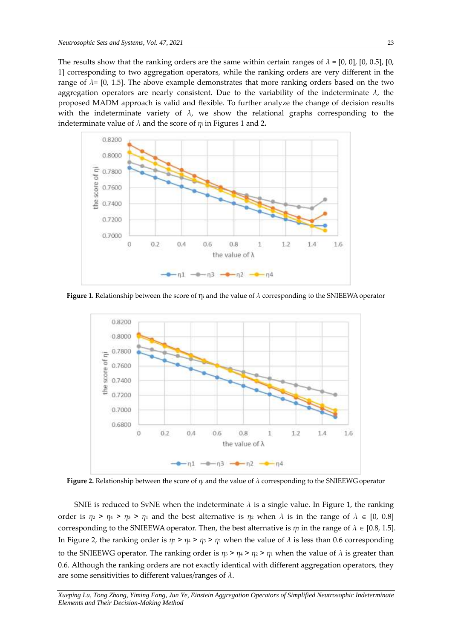The results show that the ranking orders are the same within certain ranges of  $\lambda = [0, 0]$ , [0, 0.5], [0, 1] corresponding to two aggregation operators, while the ranking orders are very different in the range of  $\lambda$ = [0, 1.5]. The above example demonstrates that more ranking orders based on the two aggregation operators are nearly consistent. Due to the variability of the indeterminate *λ,* the proposed MADM approach is valid and flexible. To further analyze the change of decision results with the indeterminate variety of  $\lambda$ , we show the relational graphs corresponding to the indeterminate value of  $\lambda$  and the score of  $\eta_i$  in Figures 1 and 2.



**Figure 1.** Relationship between the score of η<sup>i</sup> and the value of *λ* corresponding to the SNIEEWAoperator



**Figure 2.** Relationship between the score of *η<sup>i</sup>* and the value of *λ* corresponding to the SNIEEWG operator

SNIE is reduced to SvNE when the indeterminate  $\lambda$  is a single value. In Figure 1, the ranking order is  $\eta_2 > \eta_4 > \eta_3 > \eta_1$  and the best alternative is  $\eta_2$  when  $\lambda$  is in the range of  $\lambda \in [0, 0.8]$ corresponding to the SNIEEWA operator. Then, the best alternative is  $\eta_3$  in the range of  $\lambda \in [0.8, 1.5]$ . In Figure 2, the ranking order is  $\eta_2 > \eta_4 > \eta_3 > \eta_1$  when the value of  $\lambda$  is less than 0.6 corresponding to the SNIEEWG operator. The ranking order is  $\eta_3 > \eta_4 > \eta_2 > \eta_1$  when the value of  $\lambda$  is greater than 0.6. Although the ranking orders are not exactly identical with different aggregation operators, they are some sensitivities to different values/ranges of *λ*.

*Xueping Lu, Tong Zhang, Yiming Fang, Jun Ye, Einstein Aggregation Operators of Simplified Neutrosophic Indeterminate Elements and Their Decision-Making Method*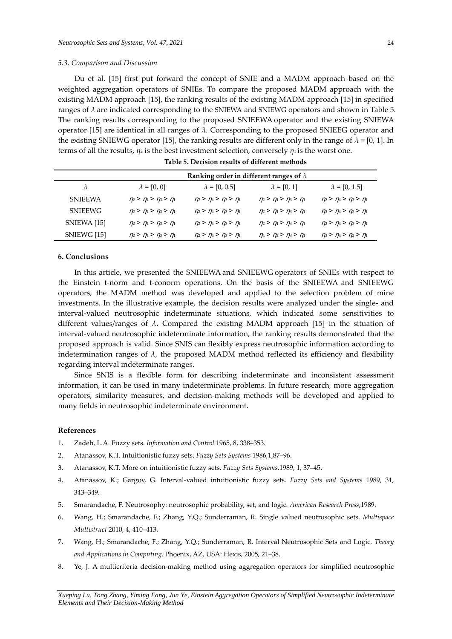#### *5.3. Comparison and Discussion*

Du et al. [15] first put forward the concept of SNIE and a MADM approach based on the weighted aggregation operators of SNIEs. To compare the proposed MADM approach with the existing MADM approach [15], the ranking results of the existing MADM approach [15] in specified ranges of *λ* are indicated corresponding to the SNIEWA and SNIEWG operators and shown in Table 5. The ranking results corresponding to the proposed SNIEEWA operator and the existing SNIEWA operator [15] are identical in all ranges of *λ.* Corresponding to the proposed SNIEEG operator and the existing SNIEWG operator [15], the ranking results are different only in the range of  $\lambda = [0, 1]$ . In terms of all the results,  $\eta_2$  is the best investment selection, conversely  $\eta_1$  is the worst one.

|                | Ranking order in different ranges of $\lambda$ |                                     |                                     |                                     |
|----------------|------------------------------------------------|-------------------------------------|-------------------------------------|-------------------------------------|
| $\lambda$      | $\lambda = [0, 0]$                             | $\lambda = [0, 0.5]$                | $\lambda = [0, 1]$                  | $\lambda = [0, 1.5]$                |
| <b>SNIEEWA</b> | $\eta_2 > \eta_4 > \eta_3 > \eta_1$            | $\eta_2 > \eta_4 > \eta_3 > \eta_1$ | $\eta_2 > \eta_4 > \eta_3 > \eta_1$ | $\eta_2 > \eta_4 > \eta_3 > \eta_1$ |
| SNIEEWG        | $\eta_2 > \eta_4 > \eta_3 > \eta_1$            | $\eta_2 > \eta_4 > \eta_3 > \eta_1$ | $\eta_2 > \eta_4 > \eta_3 > \eta_1$ | $\eta_3 > \eta_4 > \eta_2 > \eta_1$ |
| SNIEWA [15]    | $\eta_2 > \eta_4 > \eta_3 > \eta_1$            | $\eta_2 > \eta_4 > \eta_3 > \eta_1$ | $\eta_2 > \eta_4 > \eta_3 > \eta_1$ | $\eta_2 > \eta_4 > \eta_3 > \eta_1$ |
| SNIEWG [15]    | $\eta_2 > \eta_4 > \eta_3 > \eta_1$            | $\eta_2 > \eta_4 > \eta_3 > \eta_1$ | $\eta_4 > \eta_2 > \eta_3 > \eta_1$ | $\eta_3 > \eta_4 > \eta_2 > \eta_1$ |

**Table 5. Decision results of different methods**

# **6. Conclusions**

In this article, we presented the SNIEEWA and SNIEEWG operators of SNIEs with respect to the Einstein t-norm and t-conorm operations. On the basis of the SNIEEWA and SNIEEWG operators, the MADM method was developed and applied to the selection problem of mine investments. In the illustrative example, the decision results were analyzed under the single- and interval-valued neutrosophic indeterminate situations, which indicated some sensitivities to different values/ranges of  $\lambda$ **.** Compared the existing MADM approach [15] in the situation of interval-valued neutrosophic indeterminate information, the ranking results demonstrated that the proposed approach is valid. Since SNIS can flexibly express neutrosophic information according to indetermination ranges of  $\lambda$ , the proposed MADM method reflected its efficiency and flexibility regarding interval indeterminate ranges.

Since SNIS is a flexible form for describing indeterminate and inconsistent assessment information, it can be used in many indeterminate problems. In future research, more aggregation operators, similarity measures, and decision-making methods will be developed and applied to many fields in neutrosophic indeterminate environment.

# **References**

- 1. Zadeh, L.A. Fuzzy sets. *Information and Control* 1965, 8, 338–353.
- 2. Atanassov, K.T. Intuitionistic fuzzy sets. *Fuzzy Sets Systems* 1986,1,87–96.
- 3. Atanassov, K.T. More on intuitionistic fuzzy sets. *Fuzzy Sets Systems*.1989, 1, 37–45.
- 4. Atanassov, K.; Gargov, G. Interval-valued intuitionistic fuzzy sets. *Fuzzy Sets and Systems* 1989, 31, 343–349.
- 5. Smarandache, F. Neutrosophy: neutrosophic probability, set, and logic. *American Research Press*,1989.
- 6. Wang, H.; Smarandache, F.; Zhang, Y.Q.; Sunderraman, R. Single valued neutrosophic sets*. Multispace Multistruct* 2010, 4, 410–413.
- 7. Wang, H.; Smarandache, F.; Zhang, Y.Q.; Sunderraman, R. Interval Neutrosophic Sets and Logic. *Theory and Applications in Computing*. Phoenix, AZ, USA: Hexis, 2005, 21–38.
- 8. Ye, J. A multicriteria decision-making method using aggregation operators for simplified neutrosophic